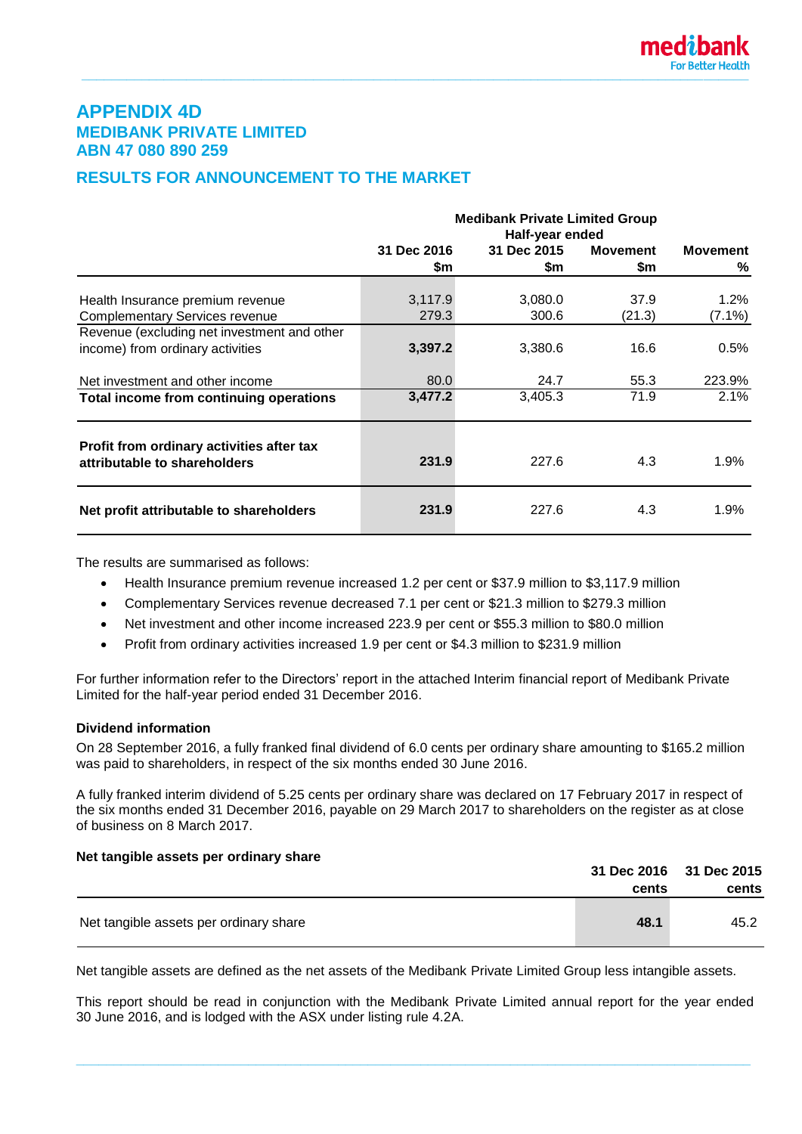# **APPENDIX 4D MEDIBANK PRIVATE LIMITED ABN 47 080 890 259**

# **RESULTS FOR ANNOUNCEMENT TO THE MARKET**

|                                                                           | <b>Medibank Private Limited Group</b><br>Half-year ended |             |                 |                 |  |
|---------------------------------------------------------------------------|----------------------------------------------------------|-------------|-----------------|-----------------|--|
|                                                                           | 31 Dec 2016                                              | 31 Dec 2015 | <b>Movement</b> | <b>Movement</b> |  |
|                                                                           | \$m                                                      | \$m         | \$m             | ℅               |  |
|                                                                           |                                                          |             |                 |                 |  |
| Health Insurance premium revenue                                          | 3,117.9                                                  | 3,080.0     | 37.9            | $1.2\%$         |  |
| <b>Complementary Services revenue</b>                                     | 279.3                                                    | 300.6       | (21.3)          | $(7.1\%)$       |  |
| Revenue (excluding net investment and other                               |                                                          |             |                 |                 |  |
| income) from ordinary activities                                          | 3,397.2                                                  | 3,380.6     | 16.6            | 0.5%            |  |
| Net investment and other income                                           | 80.0                                                     | 24.7        | 55.3            | 223.9%          |  |
| Total income from continuing operations                                   | 3,477.2                                                  | 3,405.3     | 71.9            | 2.1%            |  |
| Profit from ordinary activities after tax<br>attributable to shareholders | 231.9                                                    | 227.6       | 4.3             | 1.9%            |  |
| Net profit attributable to shareholders                                   | 231.9                                                    | 227.6       | 4.3             | 1.9%            |  |

The results are summarised as follows:

- Health Insurance premium revenue increased 1.2 per cent or \$37.9 million to \$3,117.9 million
- Complementary Services revenue decreased 7.1 per cent or \$21.3 million to \$279.3 million
- Net investment and other income increased 223.9 per cent or \$55.3 million to \$80.0 million
- Profit from ordinary activities increased 1.9 per cent or \$4.3 million to \$231.9 million

For further information refer to the Directors' report in the attached Interim financial report of Medibank Private Limited for the half-year period ended 31 December 2016.

#### **Dividend information**

On 28 September 2016, a fully franked final dividend of 6.0 cents per ordinary share amounting to \$165.2 million was paid to shareholders, in respect of the six months ended 30 June 2016.

A fully franked interim dividend of 5.25 cents per ordinary share was declared on 17 February 2017 in respect of the six months ended 31 December 2016, payable on 29 March 2017 to shareholders on the register as at close of business on 8 March 2017.

#### **Net tangible assets per ordinary share**

|                                        |       | 31 Dec 2016 31 Dec 2015 |
|----------------------------------------|-------|-------------------------|
|                                        | cents | cents                   |
| Net tangible assets per ordinary share | 48.1  | 45.2                    |

Net tangible assets are defined as the net assets of the Medibank Private Limited Group less intangible assets.

This report should be read in conjunction with the Medibank Private Limited annual report for the year ended 30 June 2016, and is lodged with the ASX under listing rule 4.2A.

**\_\_\_\_\_\_\_\_\_\_\_\_\_\_\_\_\_\_\_\_\_\_\_\_\_\_\_\_\_\_\_\_\_\_\_\_\_\_\_\_\_\_\_\_\_\_\_\_\_\_\_\_\_\_\_\_\_\_\_\_\_\_\_\_\_\_\_\_\_\_\_\_\_\_\_\_\_\_\_\_\_\_\_\_\_\_\_\_\_\_**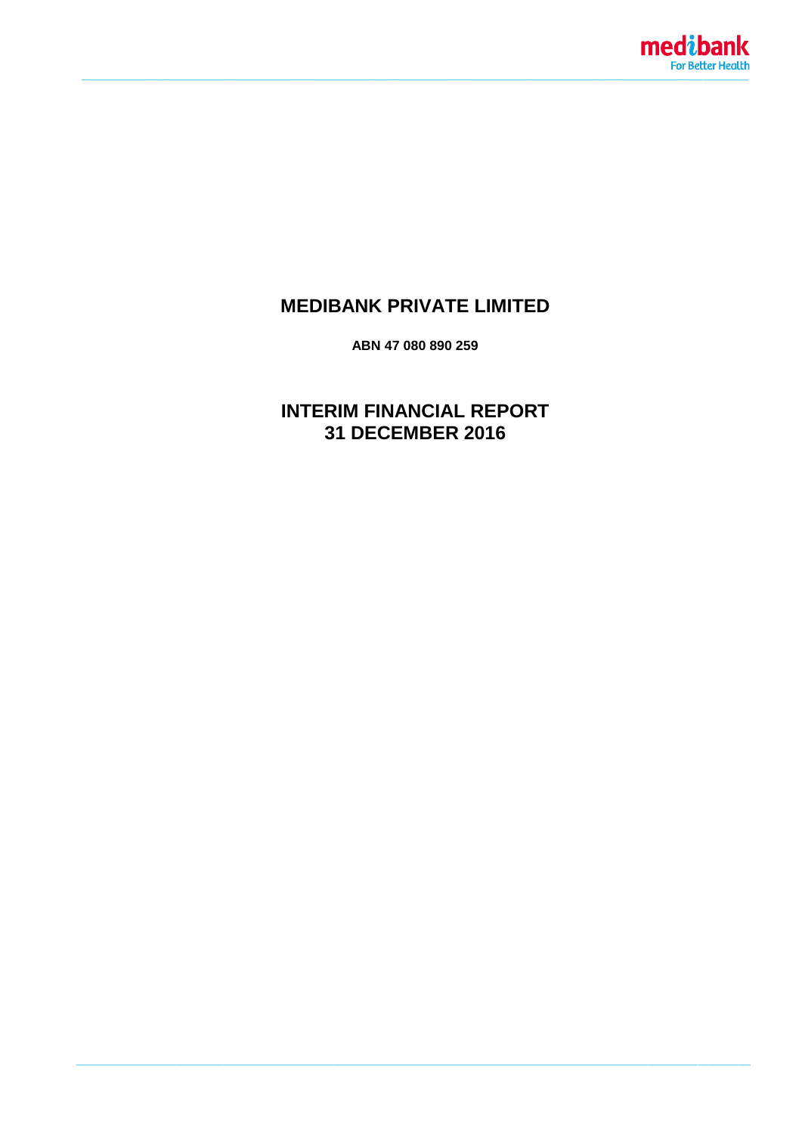

# **MEDIBANK PRIVATE LIMITED**

ABN 47 080 890 259

**INTERIM FINANCIAL REPORT** 31 DECEMBER 2016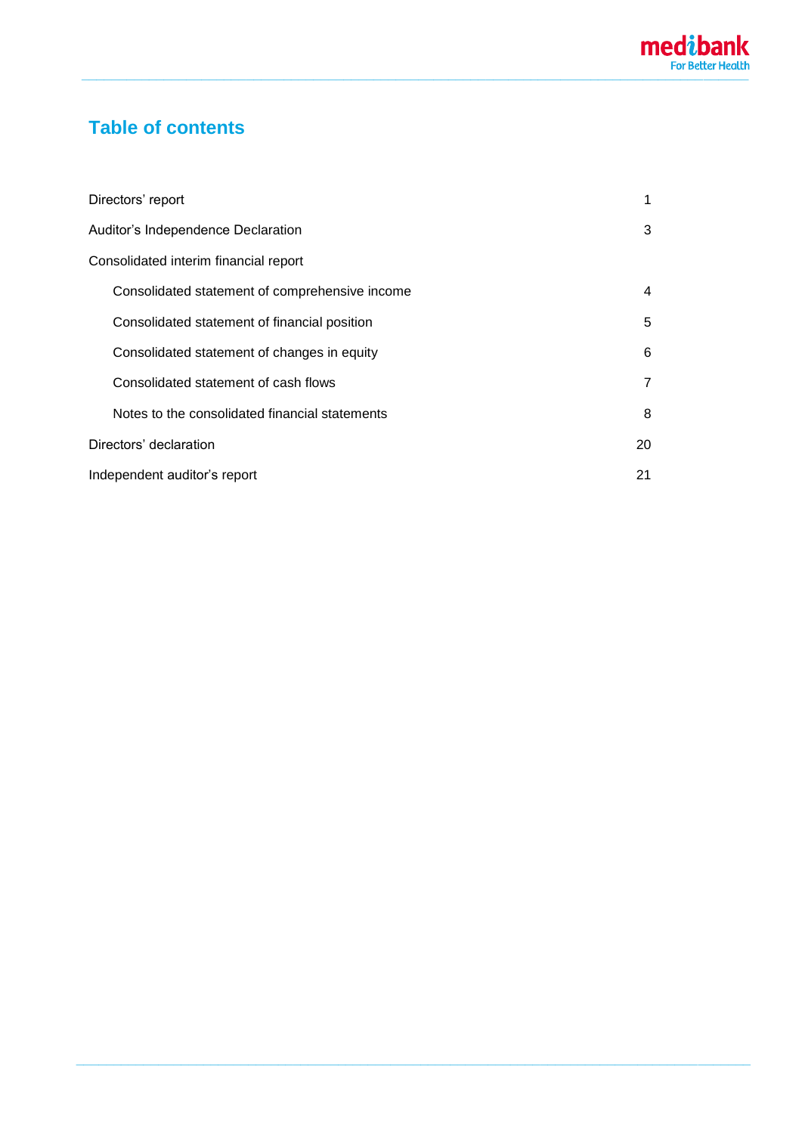# **Table of contents**

| Directors' report                              | 1  |
|------------------------------------------------|----|
| Auditor's Independence Declaration             | 3  |
| Consolidated interim financial report          |    |
| Consolidated statement of comprehensive income | 4  |
| Consolidated statement of financial position   | 5  |
| Consolidated statement of changes in equity    | 6  |
| Consolidated statement of cash flows           | 7  |
| Notes to the consolidated financial statements | 8  |
| Directors' declaration                         | 20 |
| Independent auditor's report                   | 21 |

**\_\_\_\_\_\_\_\_\_\_\_\_\_\_\_\_\_\_\_\_\_\_\_\_\_\_\_\_\_\_\_\_\_\_\_\_\_\_\_\_\_\_\_\_\_\_\_\_\_\_\_\_\_\_\_\_\_\_\_\_\_\_\_\_\_\_\_\_\_\_\_\_\_\_\_\_\_\_\_\_\_\_\_\_\_\_\_\_\_\_**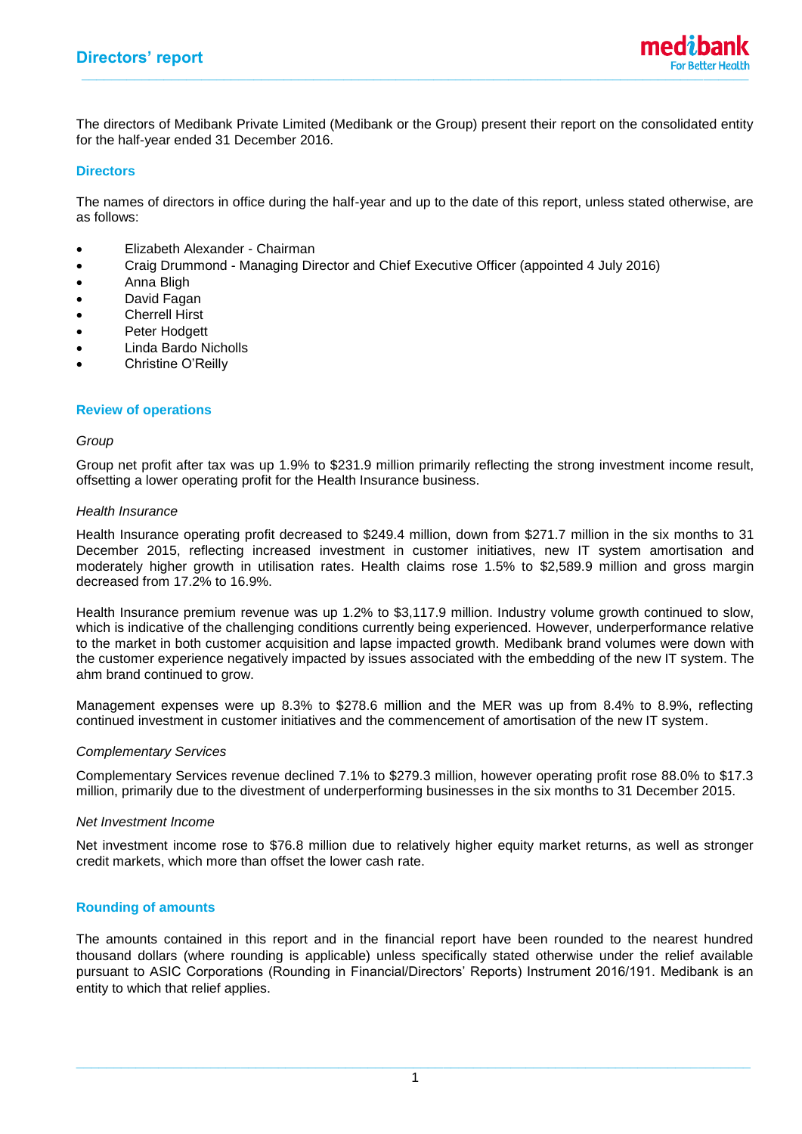The directors of Medibank Private Limited (Medibank or the Group) present their report on the consolidated entity for the half-year ended 31 December 2016.

#### **Directors**

The names of directors in office during the half-year and up to the date of this report, unless stated otherwise, are as follows:

- Elizabeth Alexander Chairman
- Craig Drummond Managing Director and Chief Executive Officer (appointed 4 July 2016)
- Anna Bligh
- David Fagan
- Cherrell Hirst
- Peter Hodgett
- Linda Bardo Nicholls
- Christine O'Reilly

#### **Review of operations**

#### *Group*

Group net profit after tax was up 1.9% to \$231.9 million primarily reflecting the strong investment income result, offsetting a lower operating profit for the Health Insurance business.

#### *Health Insurance*

Health Insurance operating profit decreased to \$249.4 million, down from \$271.7 million in the six months to 31 December 2015, reflecting increased investment in customer initiatives, new IT system amortisation and moderately higher growth in utilisation rates. Health claims rose 1.5% to \$2,589.9 million and gross margin decreased from 17.2% to 16.9%.

Health Insurance premium revenue was up 1.2% to \$3,117.9 million. Industry volume growth continued to slow, which is indicative of the challenging conditions currently being experienced. However, underperformance relative to the market in both customer acquisition and lapse impacted growth. Medibank brand volumes were down with the customer experience negatively impacted by issues associated with the embedding of the new IT system. The ahm brand continued to grow.

Management expenses were up 8.3% to \$278.6 million and the MER was up from 8.4% to 8.9%, reflecting continued investment in customer initiatives and the commencement of amortisation of the new IT system.

#### *Complementary Services*

Complementary Services revenue declined 7.1% to \$279.3 million, however operating profit rose 88.0% to \$17.3 million, primarily due to the divestment of underperforming businesses in the six months to 31 December 2015.

#### *Net Investment Income*

Net investment income rose to \$76.8 million due to relatively higher equity market returns, as well as stronger credit markets, which more than offset the lower cash rate.

#### **Rounding of amounts**

The amounts contained in this report and in the financial report have been rounded to the nearest hundred thousand dollars (where rounding is applicable) unless specifically stated otherwise under the relief available pursuant to ASIC Corporations (Rounding in Financial/Directors' Reports) Instrument 2016/191. Medibank is an entity to which that relief applies.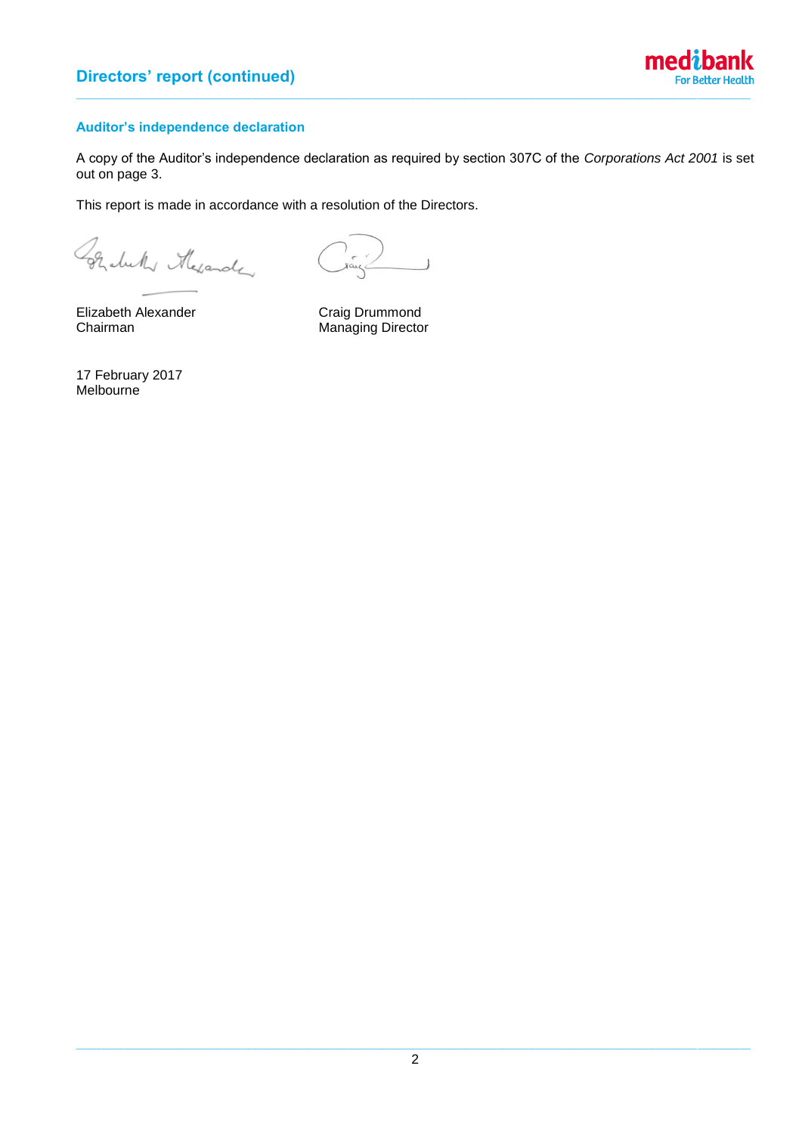

## **Auditor's independence declaration**

A copy of the Auditor's independence declaration as required by section 307C of the *Corporations Act 2001* is set out on page 3.

This report is made in accordance with a resolution of the Directors.

Grabelly Mexander

 $\overline{\phantom{a}}$ 

Elizabeth Alexander Craig Drummond

Chairman Managing Director

17 February 2017 **Melbourne**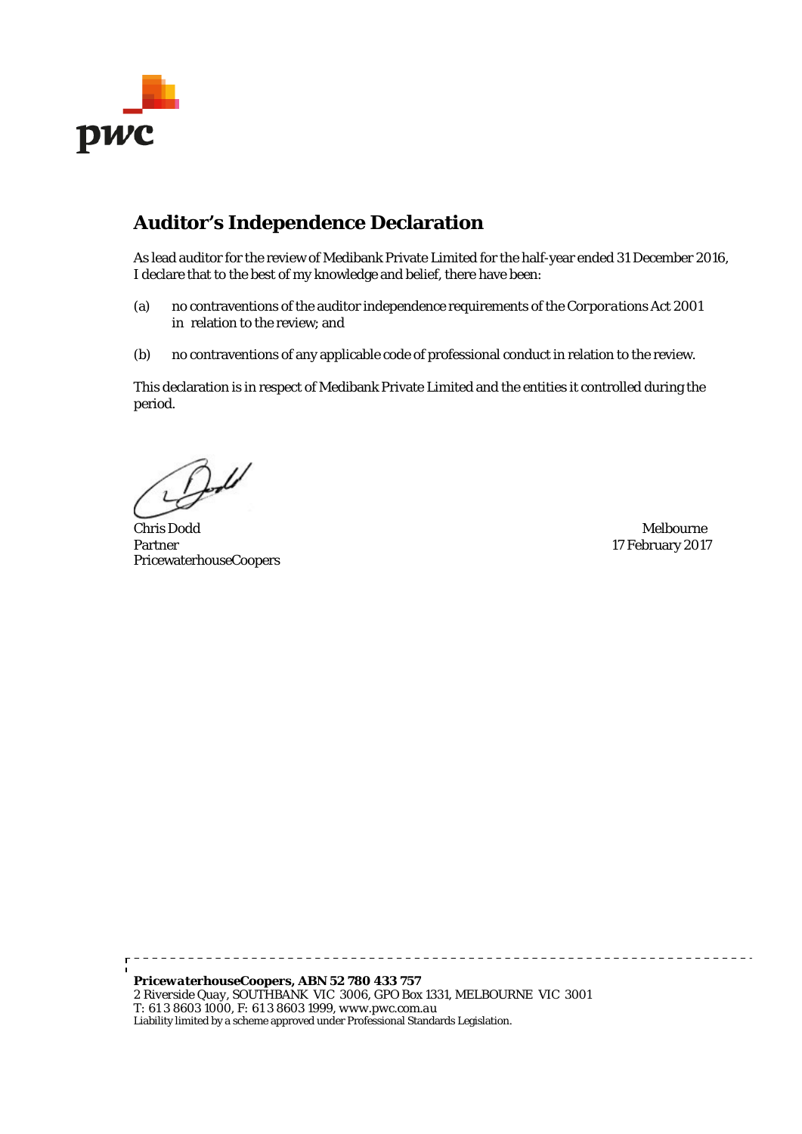

# **Auditor's Independence Declaration**

As lead auditor for the review of Medibank Private Limited for the half-year ended 31 December 2016, I declare that to the best of my knowledge and belief, there have been:

- (a) no contraventions of the auditor independence requirements of the *Corporations Act 2001*  in relation to the review; and
- (b) no contraventions of any applicable code of professional conduct in relation to the review.

This declaration is in respect of Medibank Private Limited and the entities it controlled during the period.

 $B$ 

Chris Dodd Melbourne Partner 17 February 2017 PricewaterhouseCoopers

*PricewaterhouseCoopers, ABN 52 780 433 757 2 Riverside Quay, SOUTHBANK VIC 3006, GPO Box 1331, MELBOURNE VIC 3001 T: 61 3 8603 1000, F: 61 3 8603 1999, www.pwc.com.au* Liability limited by a scheme approved under Professional Standards Legislation.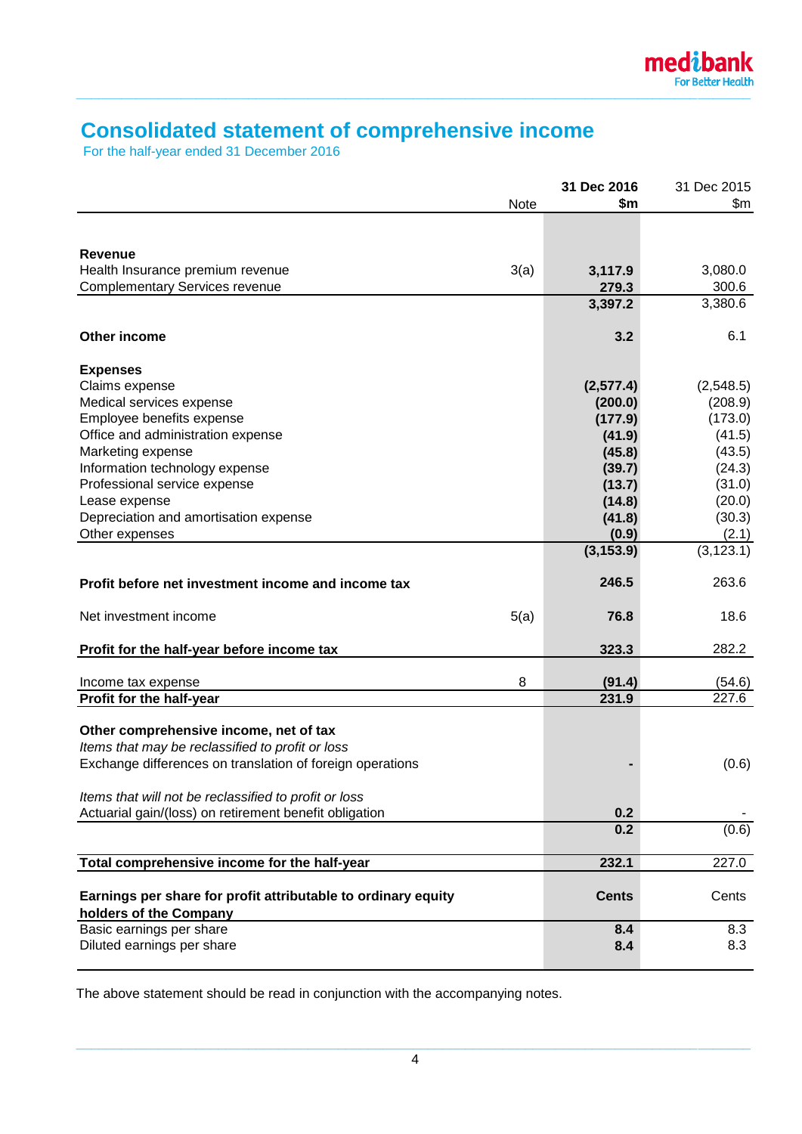

# **Consolidated statement of comprehensive income**

For the half-year ended 31 December 2016

|                                                               |      | 31 Dec 2016      | 31 Dec 2015      |
|---------------------------------------------------------------|------|------------------|------------------|
|                                                               | Note | \$m              | \$m              |
|                                                               |      |                  |                  |
|                                                               |      |                  |                  |
| <b>Revenue</b>                                                |      |                  |                  |
| Health Insurance premium revenue                              | 3(a) | 3,117.9          | 3,080.0          |
| <b>Complementary Services revenue</b>                         |      | 279.3<br>3,397.2 | 300.6<br>3,380.6 |
|                                                               |      |                  |                  |
| Other income                                                  |      | 3.2              | 6.1              |
|                                                               |      |                  |                  |
| <b>Expenses</b>                                               |      |                  |                  |
| Claims expense                                                |      | (2, 577.4)       | (2,548.5)        |
| Medical services expense                                      |      | (200.0)          | (208.9)          |
| Employee benefits expense                                     |      | (177.9)          | (173.0)          |
| Office and administration expense                             |      | (41.9)           | (41.5)           |
| Marketing expense                                             |      | (45.8)           | (43.5)           |
| Information technology expense                                |      | (39.7)           | (24.3)           |
| Professional service expense                                  |      | (13.7)           | (31.0)           |
| Lease expense                                                 |      | (14.8)           | (20.0)           |
| Depreciation and amortisation expense                         |      | (41.8)           | (30.3)           |
| Other expenses                                                |      | (0.9)            | (2.1)            |
|                                                               |      | (3, 153.9)       | (3, 123.1)       |
|                                                               |      |                  |                  |
| Profit before net investment income and income tax            |      | 246.5            | 263.6            |
| Net investment income                                         | 5(a) | 76.8             | 18.6             |
|                                                               |      |                  |                  |
| Profit for the half-year before income tax                    |      | 323.3            | 282.2            |
|                                                               |      |                  |                  |
| Income tax expense                                            | 8    | (91.4)           | (54.6)           |
| Profit for the half-year                                      |      | 231.9            | 227.6            |
|                                                               |      |                  |                  |
| Other comprehensive income, net of tax                        |      |                  |                  |
| Items that may be reclassified to profit or loss              |      |                  |                  |
| Exchange differences on translation of foreign operations     |      |                  | (0.6)            |
| Items that will not be reclassified to profit or loss         |      |                  |                  |
| Actuarial gain/(loss) on retirement benefit obligation        |      | 0.2              |                  |
|                                                               |      | 0.2              | (0.6)            |
|                                                               |      |                  |                  |
| Total comprehensive income for the half-year                  |      | 232.1            | 227.0            |
|                                                               |      |                  |                  |
| Earnings per share for profit attributable to ordinary equity |      | <b>Cents</b>     | Cents            |
| holders of the Company                                        |      |                  |                  |
| Basic earnings per share                                      |      | 8.4              | 8.3              |
| Diluted earnings per share                                    |      | 8.4              | 8.3              |
|                                                               |      |                  |                  |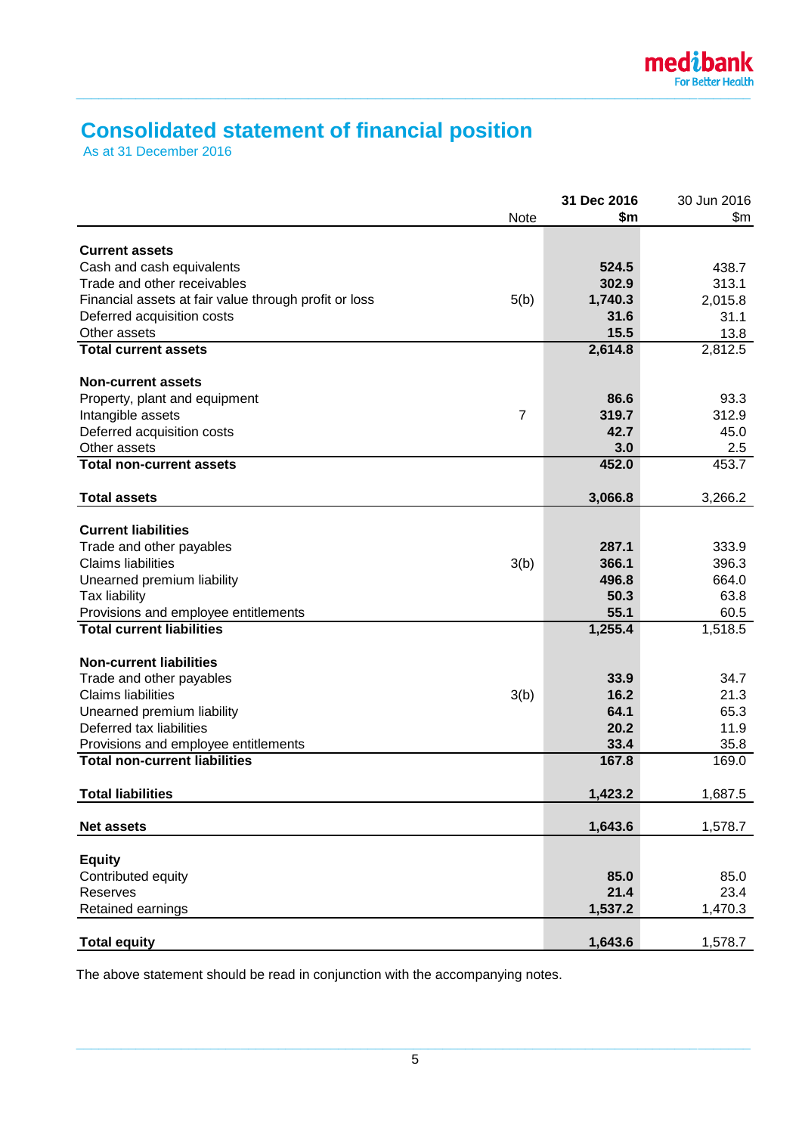# **Consolidated statement of financial position**

As at 31 December 2016

|                                                       |                | 31 Dec 2016 | 30 Jun 2016 |
|-------------------------------------------------------|----------------|-------------|-------------|
|                                                       | Note           | \$m         | \$m\$       |
|                                                       |                |             |             |
| <b>Current assets</b>                                 |                |             |             |
| Cash and cash equivalents                             |                | 524.5       | 438.7       |
| Trade and other receivables                           |                | 302.9       | 313.1       |
| Financial assets at fair value through profit or loss | 5(b)           | 1,740.3     | 2,015.8     |
| Deferred acquisition costs                            |                | 31.6        | 31.1        |
| Other assets                                          |                | 15.5        | 13.8        |
| <b>Total current assets</b>                           |                | 2,614.8     | 2,812.5     |
| <b>Non-current assets</b>                             |                |             |             |
| Property, plant and equipment                         |                | 86.6        | 93.3        |
| Intangible assets                                     | $\overline{7}$ | 319.7       | 312.9       |
| Deferred acquisition costs                            |                | 42.7        | 45.0        |
| Other assets                                          |                | 3.0         | 2.5         |
| <b>Total non-current assets</b>                       |                | 452.0       | 453.7       |
|                                                       |                |             |             |
| <b>Total assets</b>                                   |                | 3,066.8     | 3,266.2     |
| <b>Current liabilities</b>                            |                |             |             |
| Trade and other payables                              |                | 287.1       | 333.9       |
| <b>Claims liabilities</b>                             | 3(b)           | 366.1       | 396.3       |
| Unearned premium liability                            |                | 496.8       | 664.0       |
| Tax liability                                         |                | 50.3        | 63.8        |
| Provisions and employee entitlements                  |                | 55.1        | 60.5        |
| <b>Total current liabilities</b>                      |                | 1,255.4     | 1,518.5     |
|                                                       |                |             |             |
| <b>Non-current liabilities</b>                        |                |             |             |
| Trade and other payables                              |                | 33.9        | 34.7        |
| <b>Claims liabilities</b>                             | 3(b)           | 16.2        | 21.3        |
| Unearned premium liability                            |                | 64.1        | 65.3        |
| Deferred tax liabilities                              |                | 20.2        | 11.9        |
| Provisions and employee entitlements                  |                | 33.4        | 35.8        |
| <b>Total non-current liabilities</b>                  |                | 167.8       | 169.0       |
| <b>Total liabilities</b>                              |                | 1,423.2     | 1,687.5     |
|                                                       |                |             |             |
| <b>Net assets</b>                                     |                | 1,643.6     | 1,578.7     |
|                                                       |                |             |             |
| <b>Equity</b>                                         |                |             |             |
| Contributed equity                                    |                | 85.0        | 85.0        |
| Reserves                                              |                | 21.4        | 23.4        |
| Retained earnings                                     |                | 1,537.2     | 1,470.3     |
| <b>Total equity</b>                                   |                | 1,643.6     | 1,578.7     |
|                                                       |                |             |             |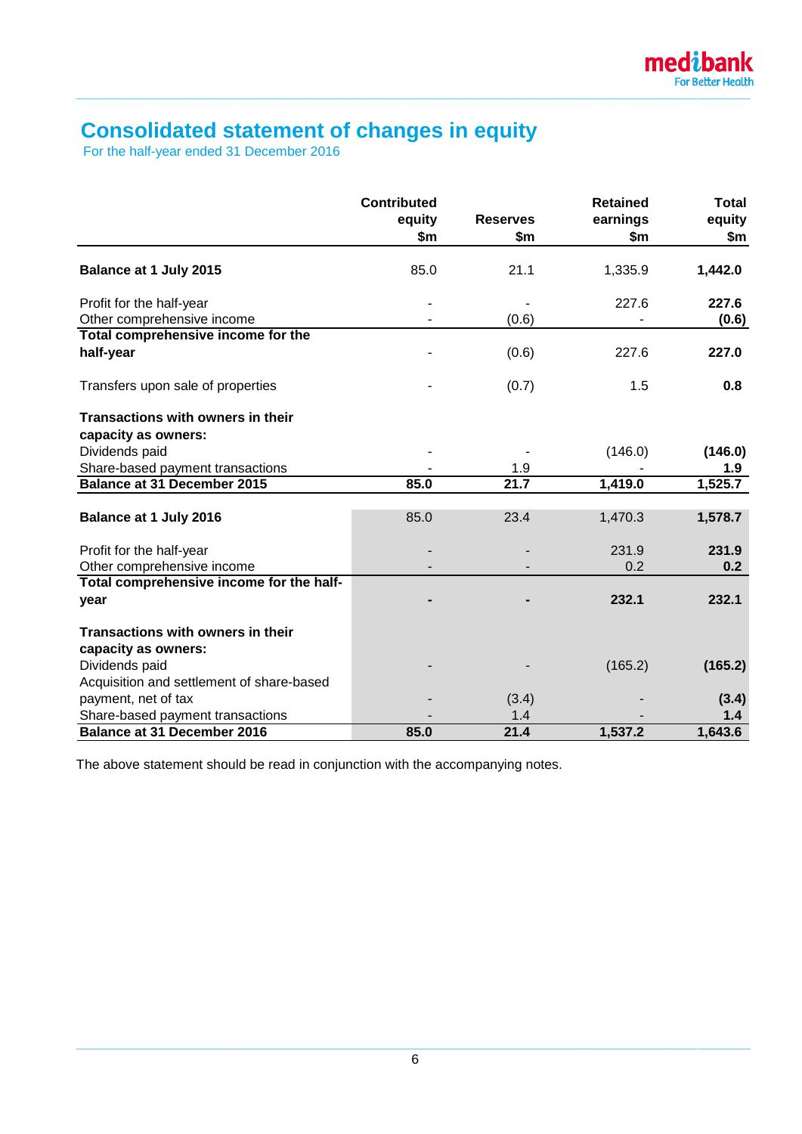# **Consolidated statement of changes in equity**

For the half-year ended 31 December 2016

|                                           | <b>Contributed</b><br>equity<br>\$m | <b>Reserves</b><br>\$m | <b>Retained</b><br>earnings<br>\$m\$ | <b>Total</b><br>equity<br>\$m\$ |
|-------------------------------------------|-------------------------------------|------------------------|--------------------------------------|---------------------------------|
| Balance at 1 July 2015                    | 85.0                                | 21.1                   | 1,335.9                              | 1,442.0                         |
| Profit for the half-year                  |                                     |                        | 227.6                                | 227.6                           |
| Other comprehensive income                |                                     | (0.6)                  |                                      | (0.6)                           |
| Total comprehensive income for the        |                                     |                        |                                      |                                 |
| half-year                                 |                                     | (0.6)                  | 227.6                                | 227.0                           |
| Transfers upon sale of properties         |                                     | (0.7)                  | 1.5                                  | 0.8                             |
| Transactions with owners in their         |                                     |                        |                                      |                                 |
| capacity as owners:                       |                                     |                        |                                      |                                 |
| Dividends paid                            |                                     |                        | (146.0)                              | (146.0)                         |
| Share-based payment transactions          |                                     | 1.9                    |                                      | 1.9                             |
| <b>Balance at 31 December 2015</b>        | 85.0                                | 21.7                   | 1,419.0                              | 1,525.7                         |
| Balance at 1 July 2016                    | 85.0                                | 23.4                   | 1,470.3                              | 1,578.7                         |
| Profit for the half-year                  |                                     |                        | 231.9                                | 231.9                           |
| Other comprehensive income                |                                     |                        | 0.2                                  | 0.2                             |
| Total comprehensive income for the half-  |                                     |                        |                                      |                                 |
| year                                      |                                     |                        | 232.1                                | 232.1                           |
| Transactions with owners in their         |                                     |                        |                                      |                                 |
| capacity as owners:                       |                                     |                        |                                      |                                 |
| Dividends paid                            |                                     |                        | (165.2)                              | (165.2)                         |
| Acquisition and settlement of share-based |                                     |                        |                                      |                                 |
| payment, net of tax                       |                                     | (3.4)                  |                                      | (3.4)                           |
| Share-based payment transactions          |                                     | 1.4                    |                                      | 1.4                             |
| <b>Balance at 31 December 2016</b>        | 85.0                                | 21.4                   | 1,537.2                              | 1,643.6                         |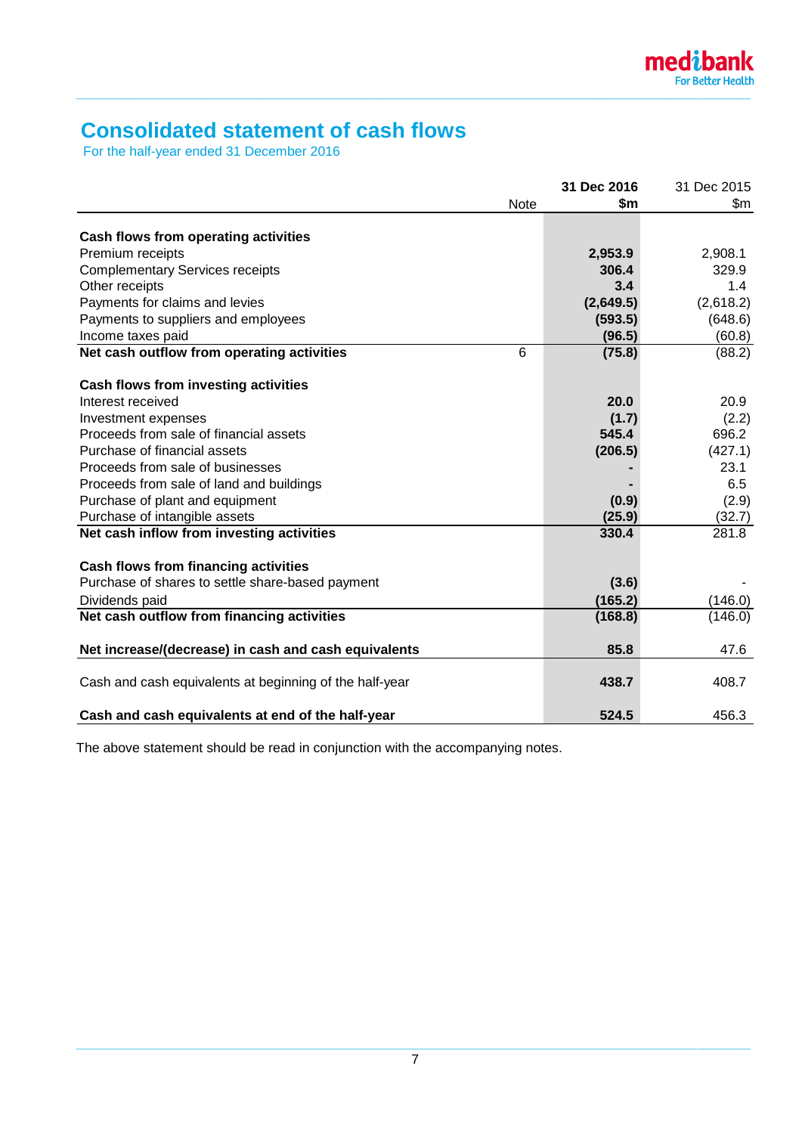# **Consolidated statement of cash flows**

For the half-year ended 31 December 2016

|                                                         |      | 31 Dec 2016 | 31 Dec 2015 |
|---------------------------------------------------------|------|-------------|-------------|
|                                                         | Note | \$m         | \$m\$       |
| Cash flows from operating activities                    |      |             |             |
| Premium receipts                                        |      | 2,953.9     | 2,908.1     |
| <b>Complementary Services receipts</b>                  |      | 306.4       | 329.9       |
| Other receipts                                          |      | 3.4         | 1.4         |
| Payments for claims and levies                          |      | (2,649.5)   | (2,618.2)   |
| Payments to suppliers and employees                     |      | (593.5)     | (648.6)     |
| Income taxes paid                                       |      | (96.5)      | (60.8)      |
| Net cash outflow from operating activities              | 6    | (75.8)      | (88.2)      |
| Cash flows from investing activities                    |      |             |             |
| Interest received                                       |      | 20.0        | 20.9        |
| Investment expenses                                     |      | (1.7)       | (2.2)       |
| Proceeds from sale of financial assets                  |      | 545.4       | 696.2       |
| Purchase of financial assets                            |      | (206.5)     | (427.1)     |
| Proceeds from sale of businesses                        |      |             | 23.1        |
| Proceeds from sale of land and buildings                |      |             | 6.5         |
| Purchase of plant and equipment                         |      | (0.9)       | (2.9)       |
| Purchase of intangible assets                           |      | (25.9)      | (32.7)      |
| Net cash inflow from investing activities               |      | 330.4       | 281.8       |
| Cash flows from financing activities                    |      |             |             |
| Purchase of shares to settle share-based payment        |      | (3.6)       |             |
| Dividends paid                                          |      | (165.2)     | (146.0)     |
| Net cash outflow from financing activities              |      | (168.8)     | (146.0)     |
| Net increase/(decrease) in cash and cash equivalents    |      | 85.8        | 47.6        |
| Cash and cash equivalents at beginning of the half-year |      | 438.7       | 408.7       |
| Cash and cash equivalents at end of the half-year       |      | 524.5       | 456.3       |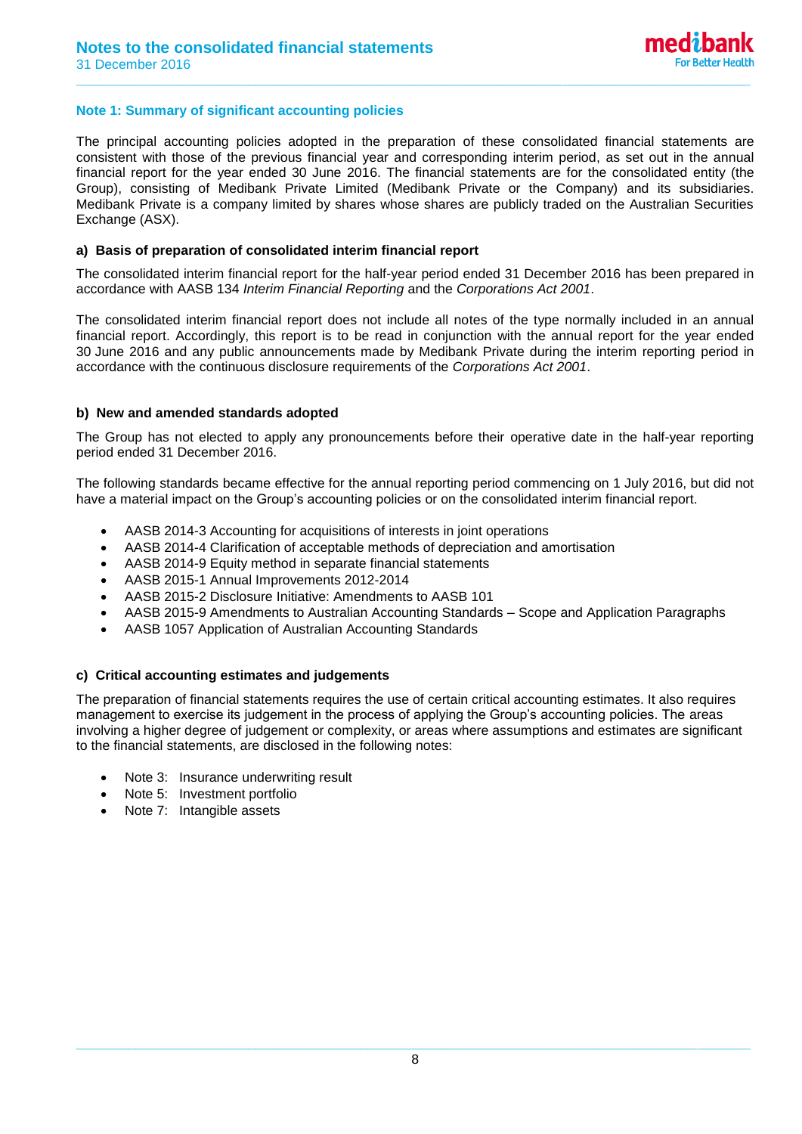#### **Note 1: Summary of significant accounting policies**

The principal accounting policies adopted in the preparation of these consolidated financial statements are consistent with those of the previous financial year and corresponding interim period, as set out in the annual financial report for the year ended 30 June 2016. The financial statements are for the consolidated entity (the Group), consisting of Medibank Private Limited (Medibank Private or the Company) and its subsidiaries. Medibank Private is a company limited by shares whose shares are publicly traded on the Australian Securities Exchange (ASX).

**\_\_\_\_\_\_\_\_\_\_\_\_\_\_\_\_\_\_\_\_\_\_\_\_\_\_\_\_\_\_\_\_\_\_\_\_\_\_\_\_\_\_\_\_\_\_\_\_\_\_\_\_\_\_\_\_\_\_\_\_\_\_\_\_\_\_\_\_\_\_\_\_\_\_\_\_\_\_\_\_\_\_\_\_\_\_\_\_\_\_**

#### **a) Basis of preparation of consolidated interim financial report**

The consolidated interim financial report for the half-year period ended 31 December 2016 has been prepared in accordance with AASB 134 *Interim Financial Reporting* and the *Corporations Act 2001*.

The consolidated interim financial report does not include all notes of the type normally included in an annual financial report. Accordingly, this report is to be read in conjunction with the annual report for the year ended 30 June 2016 and any public announcements made by Medibank Private during the interim reporting period in accordance with the continuous disclosure requirements of the *Corporations Act 2001*.

#### **b) New and amended standards adopted**

The Group has not elected to apply any pronouncements before their operative date in the half-year reporting period ended 31 December 2016.

The following standards became effective for the annual reporting period commencing on 1 July 2016, but did not have a material impact on the Group's accounting policies or on the consolidated interim financial report.

- AASB 2014-3 Accounting for acquisitions of interests in joint operations
- AASB 2014-4 Clarification of acceptable methods of depreciation and amortisation
- AASB 2014-9 Equity method in separate financial statements
- AASB 2015-1 Annual Improvements 2012-2014
- AASB 2015-2 Disclosure Initiative: Amendments to AASB 101
- AASB 2015-9 Amendments to Australian Accounting Standards Scope and Application Paragraphs
- AASB 1057 Application of Australian Accounting Standards

#### **c) Critical accounting estimates and judgements**

The preparation of financial statements requires the use of certain critical accounting estimates. It also requires management to exercise its judgement in the process of applying the Group's accounting policies. The areas involving a higher degree of judgement or complexity, or areas where assumptions and estimates are significant to the financial statements, are disclosed in the following notes:

- Note 3: Insurance underwriting result
- Note 5: Investment portfolio
- Note 7: Intangible assets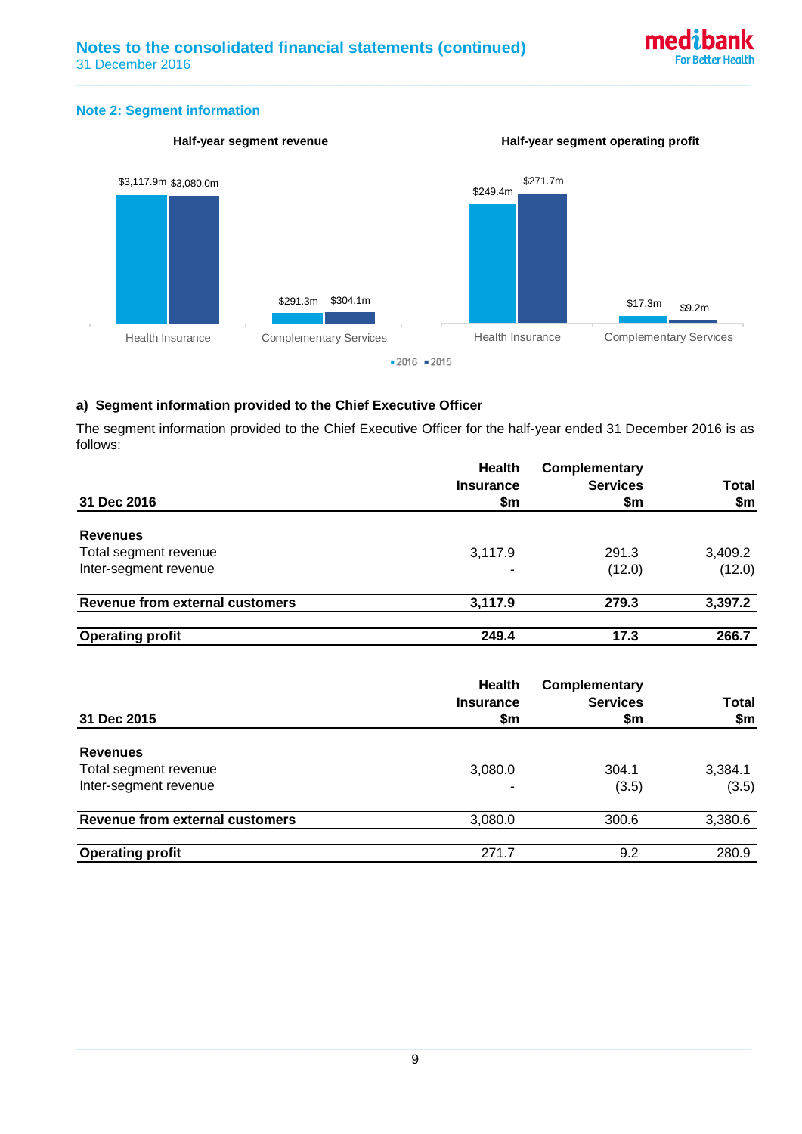

#### **Note 2: Segment information**



**\_\_\_\_\_\_\_\_\_\_\_\_\_\_\_\_\_\_\_\_\_\_\_\_\_\_\_\_\_\_\_\_\_\_\_\_\_\_\_\_\_\_\_\_\_\_\_\_\_\_\_\_\_\_\_\_\_\_\_\_\_\_\_\_\_\_\_\_\_\_\_\_\_\_\_\_\_\_\_\_\_\_\_\_\_\_\_\_\_\_**

# **a) Segment information provided to the Chief Executive Officer**

The segment information provided to the Chief Executive Officer for the half-year ended 31 December 2016 is as follows:

|                                        | <b>Health</b><br><b>Insurance</b> | Complementary<br><b>Services</b> | Total   |
|----------------------------------------|-----------------------------------|----------------------------------|---------|
| 31 Dec 2016                            | \$m                               | \$m                              | \$m     |
| <b>Revenues</b>                        |                                   |                                  |         |
| Total segment revenue                  | 3,117.9                           | 291.3                            | 3,409.2 |
| Inter-segment revenue                  |                                   | (12.0)                           | (12.0)  |
| <b>Revenue from external customers</b> | 3,117.9                           | 279.3                            | 3,397.2 |
| <b>Operating profit</b>                | 249.4                             | 17.3                             | 266.7   |

|                                 | <b>Health</b><br><b>Insurance</b> | <b>Complementary</b><br><b>Services</b> | <b>Total</b> |
|---------------------------------|-----------------------------------|-----------------------------------------|--------------|
| 31 Dec 2015                     | \$m                               | \$m                                     | \$m          |
| <b>Revenues</b>                 |                                   |                                         |              |
| Total segment revenue           | 3,080.0                           | 304.1                                   | 3,384.1      |
| Inter-segment revenue           |                                   | (3.5)                                   | (3.5)        |
| Revenue from external customers | 3,080.0                           | 300.6                                   | 3,380.6      |
| <b>Operating profit</b>         | 271.7                             | 9.2                                     | 280.9        |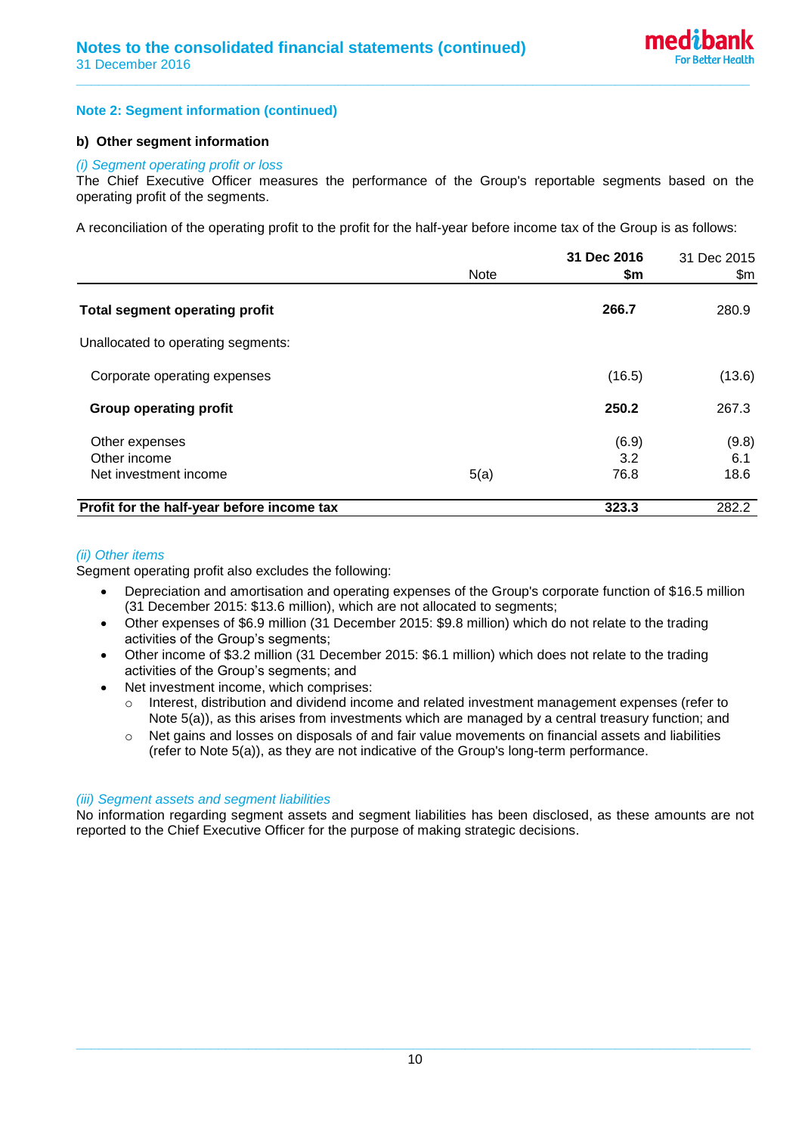#### **Note 2: Segment information (continued)**

#### **b) Other segment information**

#### *(i) Segment operating profit or loss*

The Chief Executive Officer measures the performance of the Group's reportable segments based on the operating profit of the segments.

**\_\_\_\_\_\_\_\_\_\_\_\_\_\_\_\_\_\_\_\_\_\_\_\_\_\_\_\_\_\_\_\_\_\_\_\_\_\_\_\_\_\_\_\_\_\_\_\_\_\_\_\_\_\_\_\_\_\_\_\_\_\_\_\_\_\_\_\_\_\_\_\_\_\_\_\_\_\_\_\_\_\_\_\_\_\_\_\_\_\_**

A reconciliation of the operating profit to the profit for the half-year before income tax of the Group is as follows:

|                                            | <b>Note</b> | 31 Dec 2016<br>\$m | 31 Dec 2015<br>\$m |
|--------------------------------------------|-------------|--------------------|--------------------|
| <b>Total segment operating profit</b>      |             | 266.7              | 280.9              |
| Unallocated to operating segments:         |             |                    |                    |
| Corporate operating expenses               |             | (16.5)             | (13.6)             |
| <b>Group operating profit</b>              |             | 250.2              | 267.3              |
| Other expenses<br>Other income             |             | (6.9)<br>3.2       | (9.8)<br>6.1       |
| Net investment income                      | 5(a)        | 76.8               | 18.6               |
| Profit for the half-year before income tax |             | 323.3              | 282.2              |

#### *(ii) Other items*

Segment operating profit also excludes the following:

- Depreciation and amortisation and operating expenses of the Group's corporate function of \$16.5 million (31 December 2015: \$13.6 million), which are not allocated to segments;
- Other expenses of \$6.9 million (31 December 2015: \$9.8 million) which do not relate to the trading activities of the Group's segments;
- Other income of \$3.2 million (31 December 2015: \$6.1 million) which does not relate to the trading activities of the Group's segments; and
- Net investment income, which comprises:
	- o Interest, distribution and dividend income and related investment management expenses (refer to Note 5(a)), as this arises from investments which are managed by a central treasury function; and
	- o Net gains and losses on disposals of and fair value movements on financial assets and liabilities (refer to Note 5(a)), as they are not indicative of the Group's long-term performance.

#### *(iii) Segment assets and segment liabilities*

No information regarding segment assets and segment liabilities has been disclosed, as these amounts are not reported to the Chief Executive Officer for the purpose of making strategic decisions.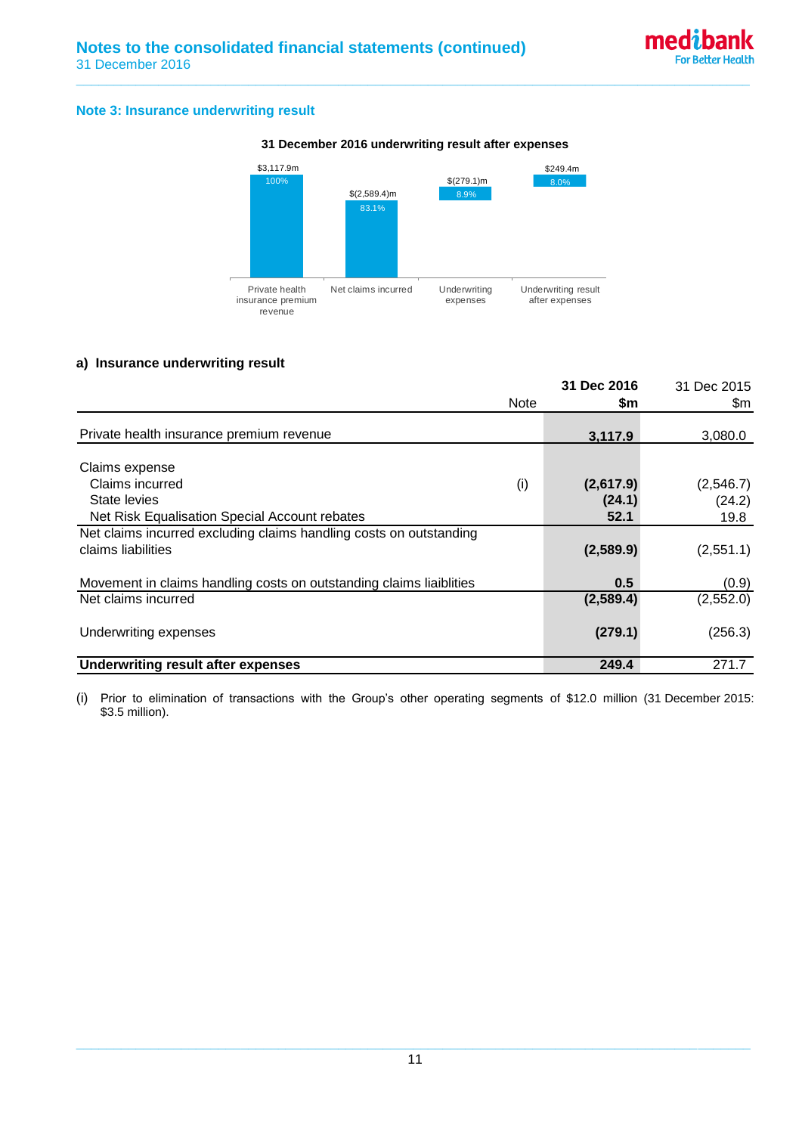#### **Note 3: Insurance underwriting result**



#### **31 December 2016 underwriting result after expenses**

**\_\_\_\_\_\_\_\_\_\_\_\_\_\_\_\_\_\_\_\_\_\_\_\_\_\_\_\_\_\_\_\_\_\_\_\_\_\_\_\_\_\_\_\_\_\_\_\_\_\_\_\_\_\_\_\_\_\_\_\_\_\_\_\_\_\_\_\_\_\_\_\_\_\_\_\_\_\_\_\_\_\_\_\_\_\_\_\_\_\_**

#### **a) Insurance underwriting result**

|                                                                                          | <b>Note</b> | 31 Dec 2016<br>\$m | 31 Dec 2015<br>\$m |
|------------------------------------------------------------------------------------------|-------------|--------------------|--------------------|
| Private health insurance premium revenue                                                 |             | 3,117.9            | 3,080.0            |
| Claims expense                                                                           |             |                    |                    |
| Claims incurred                                                                          | (i)         | (2,617.9)          | (2,546.7)          |
| State levies                                                                             |             | (24.1)             | (24.2)             |
| Net Risk Equalisation Special Account rebates                                            |             | 52.1               | 19.8               |
| Net claims incurred excluding claims handling costs on outstanding<br>claims liabilities |             | (2,589.9)          | (2,551.1)          |
| Movement in claims handling costs on outstanding claims liaiblities                      |             | 0.5                | (0.9)              |
| Net claims incurred                                                                      |             | (2,589.4)          | (2, 552.0)         |
| Underwriting expenses                                                                    |             | (279.1)            | (256.3)            |
| <b>Underwriting result after expenses</b>                                                |             | 249.4              | 271.7              |

(i) Prior to elimination of transactions with the Group's other operating segments of \$12.0 million (31 December 2015: \$3.5 million).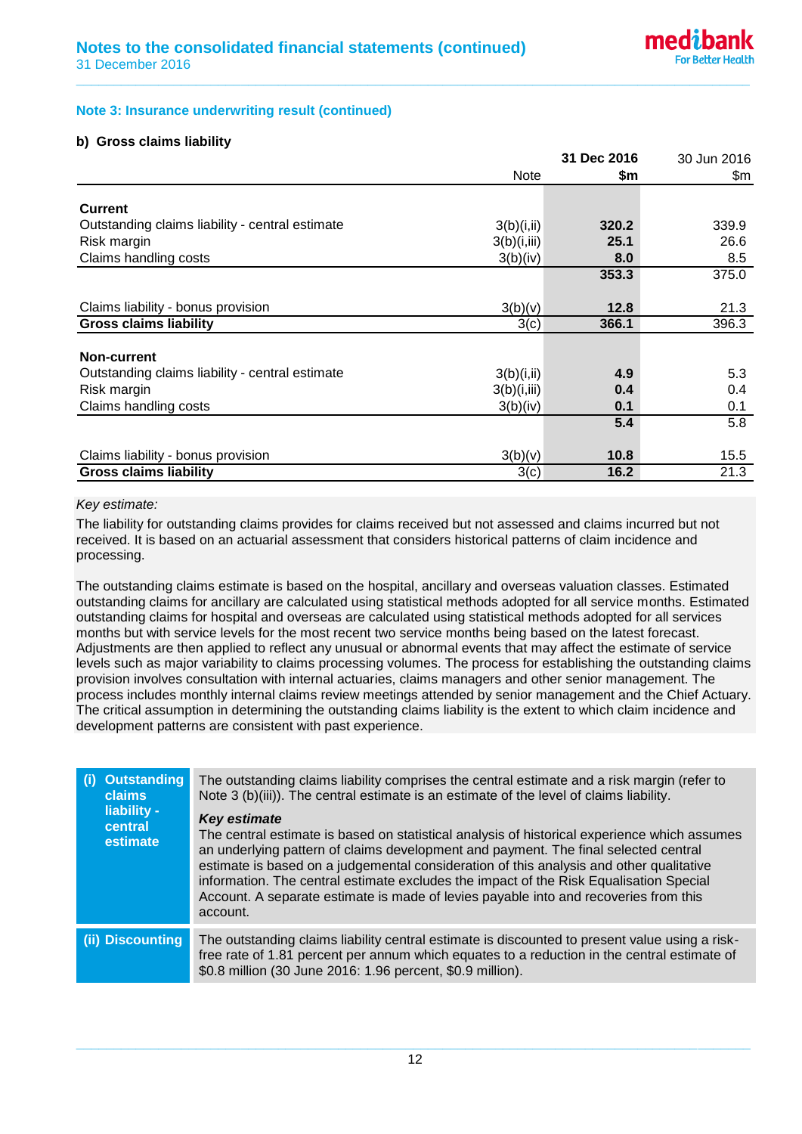#### **Note 3: Insurance underwriting result (continued)**

#### **b) Gross claims liability**

|                                                 |             | 31 Dec 2016 | 30 Jun 2016 |
|-------------------------------------------------|-------------|-------------|-------------|
|                                                 | <b>Note</b> | \$m         | \$m         |
| <b>Current</b>                                  |             |             |             |
| Outstanding claims liability - central estimate | 3(b)(i, ii) | 320.2       | 339.9       |
| Risk margin                                     | 3(b)(i,iii) | 25.1        | 26.6        |
| Claims handling costs                           | 3(b)(iv)    | 8.0         | 8.5         |
|                                                 |             | 353.3       | 375.0       |
|                                                 |             |             |             |
| Claims liability - bonus provision              | 3(b)(v)     | 12.8        | 21.3        |
| <b>Gross claims liability</b>                   | 3(c)        | 366.1       | 396.3       |
|                                                 |             |             |             |
| Non-current                                     |             |             |             |
| Outstanding claims liability - central estimate | 3(b)(i, ii) | 4.9         | 5.3         |
| Risk margin                                     | 3(b)(i,iii) | 0.4         | 0.4         |
| Claims handling costs                           | 3(b)(iv)    | 0.1         | 0.1         |
|                                                 |             | 5.4         | 5.8         |
|                                                 |             |             |             |
| Claims liability - bonus provision              | 3(b)(v)     | 10.8        | 15.5        |
| <b>Gross claims liability</b>                   | 3(c)        | 16.2        | 21.3        |

**\_\_\_\_\_\_\_\_\_\_\_\_\_\_\_\_\_\_\_\_\_\_\_\_\_\_\_\_\_\_\_\_\_\_\_\_\_\_\_\_\_\_\_\_\_\_\_\_\_\_\_\_\_\_\_\_\_\_\_\_\_\_\_\_\_\_\_\_\_\_\_\_\_\_\_\_\_\_\_\_\_\_\_\_\_\_\_\_\_\_**

#### *Key estimate:*

The liability for outstanding claims provides for claims received but not assessed and claims incurred but not received. It is based on an actuarial assessment that considers historical patterns of claim incidence and processing.

The outstanding claims estimate is based on the hospital, ancillary and overseas valuation classes. Estimated outstanding claims for ancillary are calculated using statistical methods adopted for all service months. Estimated outstanding claims for hospital and overseas are calculated using statistical methods adopted for all services months but with service levels for the most recent two service months being based on the latest forecast. Adjustments are then applied to reflect any unusual or abnormal events that may affect the estimate of service levels such as major variability to claims processing volumes. The process for establishing the outstanding claims provision involves consultation with internal actuaries, claims managers and other senior management. The process includes monthly internal claims review meetings attended by senior management and the Chief Actuary. The critical assumption in determining the outstanding claims liability is the extent to which claim incidence and development patterns are consistent with past experience.

| <b>Outstanding</b><br>(i)<br><b>claims</b><br>liability -<br>central<br>estimate | The outstanding claims liability comprises the central estimate and a risk margin (refer to<br>Note 3 (b)(iii)). The central estimate is an estimate of the level of claims liability.<br><b>Key estimate</b><br>The central estimate is based on statistical analysis of historical experience which assumes<br>an underlying pattern of claims development and payment. The final selected central<br>estimate is based on a judgemental consideration of this analysis and other qualitative<br>information. The central estimate excludes the impact of the Risk Equalisation Special<br>Account. A separate estimate is made of levies payable into and recoveries from this<br>account. |
|----------------------------------------------------------------------------------|-----------------------------------------------------------------------------------------------------------------------------------------------------------------------------------------------------------------------------------------------------------------------------------------------------------------------------------------------------------------------------------------------------------------------------------------------------------------------------------------------------------------------------------------------------------------------------------------------------------------------------------------------------------------------------------------------|
| (ii) Discounting                                                                 | The outstanding claims liability central estimate is discounted to present value using a risk-<br>free rate of 1.81 percent per annum which equates to a reduction in the central estimate of<br>\$0.8 million (30 June 2016: 1.96 percent, \$0.9 million).                                                                                                                                                                                                                                                                                                                                                                                                                                   |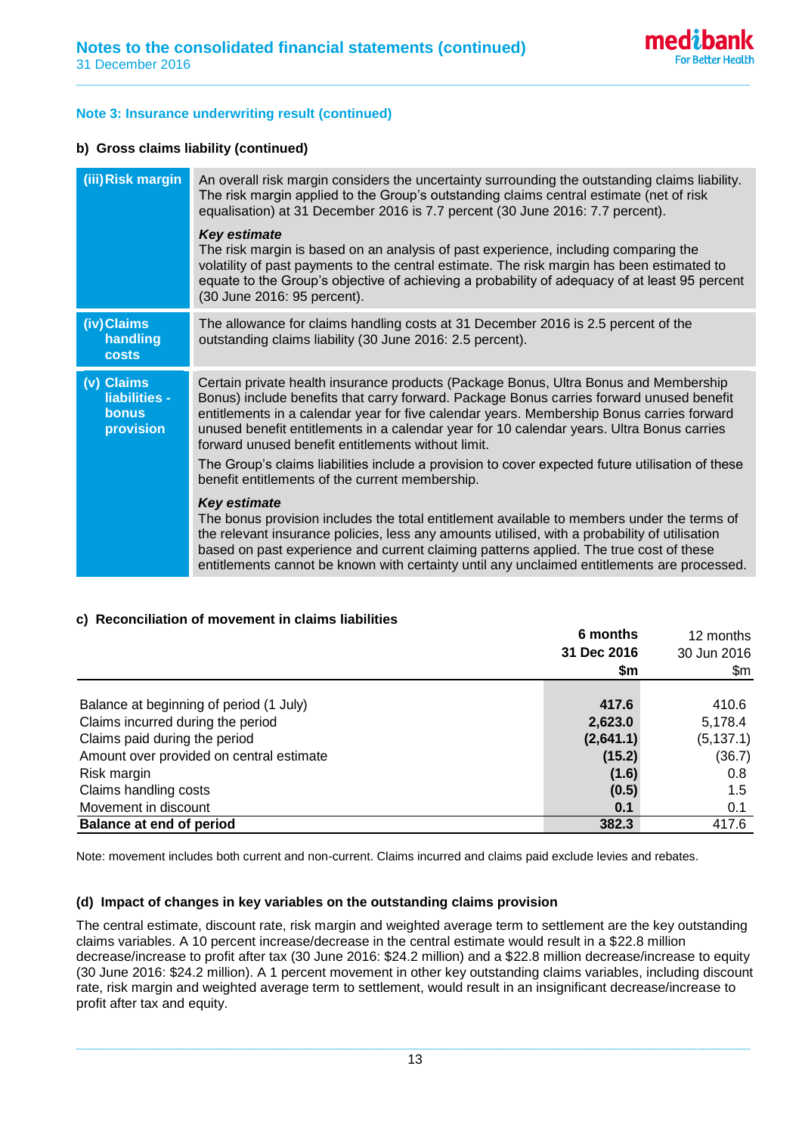### **Note 3: Insurance underwriting result (continued)**

### **b) Gross claims liability (continued)**

| (iii) Risk margin                                        | An overall risk margin considers the uncertainty surrounding the outstanding claims liability.<br>The risk margin applied to the Group's outstanding claims central estimate (net of risk<br>equalisation) at 31 December 2016 is 7.7 percent (30 June 2016: 7.7 percent).<br><b>Key estimate</b><br>The risk margin is based on an analysis of past experience, including comparing the<br>volatility of past payments to the central estimate. The risk margin has been estimated to<br>equate to the Group's objective of achieving a probability of adequacy of at least 95 percent<br>(30 June 2016: 95 percent). |
|----------------------------------------------------------|------------------------------------------------------------------------------------------------------------------------------------------------------------------------------------------------------------------------------------------------------------------------------------------------------------------------------------------------------------------------------------------------------------------------------------------------------------------------------------------------------------------------------------------------------------------------------------------------------------------------|
| (iv)Claims<br>handling<br>costs                          | The allowance for claims handling costs at 31 December 2016 is 2.5 percent of the<br>outstanding claims liability (30 June 2016: 2.5 percent).                                                                                                                                                                                                                                                                                                                                                                                                                                                                         |
| (v) Claims<br>liabilities -<br><b>bonus</b><br>provision | Certain private health insurance products (Package Bonus, Ultra Bonus and Membership<br>Bonus) include benefits that carry forward. Package Bonus carries forward unused benefit<br>entitlements in a calendar year for five calendar years. Membership Bonus carries forward<br>unused benefit entitlements in a calendar year for 10 calendar years. Ultra Bonus carries<br>forward unused benefit entitlements without limit.<br>The Group's claims liabilities include a provision to cover expected future utilisation of these                                                                                   |
|                                                          | benefit entitlements of the current membership.                                                                                                                                                                                                                                                                                                                                                                                                                                                                                                                                                                        |
|                                                          | <b>Key estimate</b><br>The bonus provision includes the total entitlement available to members under the terms of<br>the relevant insurance policies, less any amounts utilised, with a probability of utilisation<br>based on past experience and current claiming patterns applied. The true cost of these<br>entitlements cannot be known with certainty until any unclaimed entitlements are processed.                                                                                                                                                                                                            |

**\_\_\_\_\_\_\_\_\_\_\_\_\_\_\_\_\_\_\_\_\_\_\_\_\_\_\_\_\_\_\_\_\_\_\_\_\_\_\_\_\_\_\_\_\_\_\_\_\_\_\_\_\_\_\_\_\_\_\_\_\_\_\_\_\_\_\_\_\_\_\_\_\_\_\_\_\_\_\_\_\_\_\_\_\_\_\_\_\_\_**

#### **c) Reconciliation of movement in claims liabilities**

|                                          | 6 months<br>31 Dec 2016 | 12 months<br>30 Jun 2016 |  |
|------------------------------------------|-------------------------|--------------------------|--|
|                                          |                         |                          |  |
|                                          | \$m                     | \$m                      |  |
| Balance at beginning of period (1 July)  | 417.6                   | 410.6                    |  |
| Claims incurred during the period        | 2,623.0                 | 5,178.4                  |  |
| Claims paid during the period            | (2,641.1)               | (5, 137.1)               |  |
| Amount over provided on central estimate | (15.2)                  | (36.7)                   |  |
| Risk margin                              | (1.6)                   | 0.8                      |  |
| Claims handling costs                    | (0.5)                   | 1.5                      |  |
| Movement in discount                     | 0.1                     | 0.1                      |  |
| <b>Balance at end of period</b>          | 382.3                   | 417.6                    |  |

Note: movement includes both current and non-current. Claims incurred and claims paid exclude levies and rebates.

#### **(d) Impact of changes in key variables on the outstanding claims provision**

The central estimate, discount rate, risk margin and weighted average term to settlement are the key outstanding claims variables. A 10 percent increase/decrease in the central estimate would result in a \$22.8 million decrease/increase to profit after tax (30 June 2016: \$24.2 million) and a \$22.8 million decrease/increase to equity (30 June 2016: \$24.2 million). A 1 percent movement in other key outstanding claims variables, including discount rate, risk margin and weighted average term to settlement, would result in an insignificant decrease/increase to profit after tax and equity.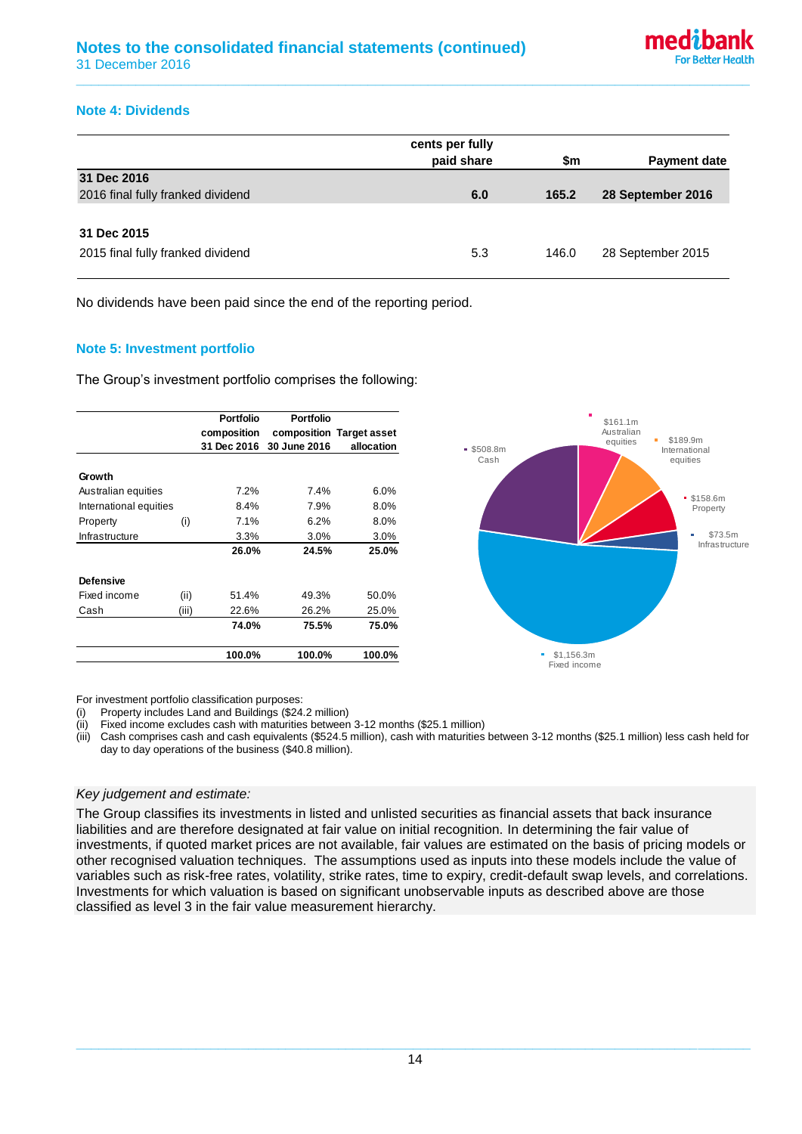## **Note 4: Dividends**

|                                                  | cents per fully<br>paid share | \$m   | <b>Payment date</b> |
|--------------------------------------------------|-------------------------------|-------|---------------------|
| 31 Dec 2016<br>2016 final fully franked dividend | 6.0                           | 165.2 | 28 September 2016   |
|                                                  |                               |       |                     |
| 31 Dec 2015<br>2015 final fully franked dividend | 5.3                           | 146.0 | 28 September 2015   |

**\_\_\_\_\_\_\_\_\_\_\_\_\_\_\_\_\_\_\_\_\_\_\_\_\_\_\_\_\_\_\_\_\_\_\_\_\_\_\_\_\_\_\_\_\_\_\_\_\_\_\_\_\_\_\_\_\_\_\_\_\_\_\_\_\_\_\_\_\_\_\_\_\_\_\_\_\_\_\_\_\_\_\_\_\_\_\_\_\_\_**

No dividends have been paid since the end of the reporting period.

#### **Note 5: Investment portfolio**

The Group's investment portfolio comprises the following:



For investment portfolio classification purposes:

(i) Property includes Land and Buildings (\$24.2 million)

(ii) Fixed income excludes cash with maturities between 3-12 months (\$25.1 million)

(iii) Cash comprises cash and cash equivalents (\$524.5 million), cash with maturities between 3-12 months (\$25.1 million) less cash held for day to day operations of the business (\$40.8 million).

#### *Key judgement and estimate:*

The Group classifies its investments in listed and unlisted securities as financial assets that back insurance liabilities and are therefore designated at fair value on initial recognition. In determining the fair value of investments, if quoted market prices are not available, fair values are estimated on the basis of pricing models or other recognised valuation techniques. The assumptions used as inputs into these models include the value of variables such as risk-free rates, volatility, strike rates, time to expiry, credit-default swap levels, and correlations. Investments for which valuation is based on significant unobservable inputs as described above are those classified as level 3 in the fair value measurement hierarchy.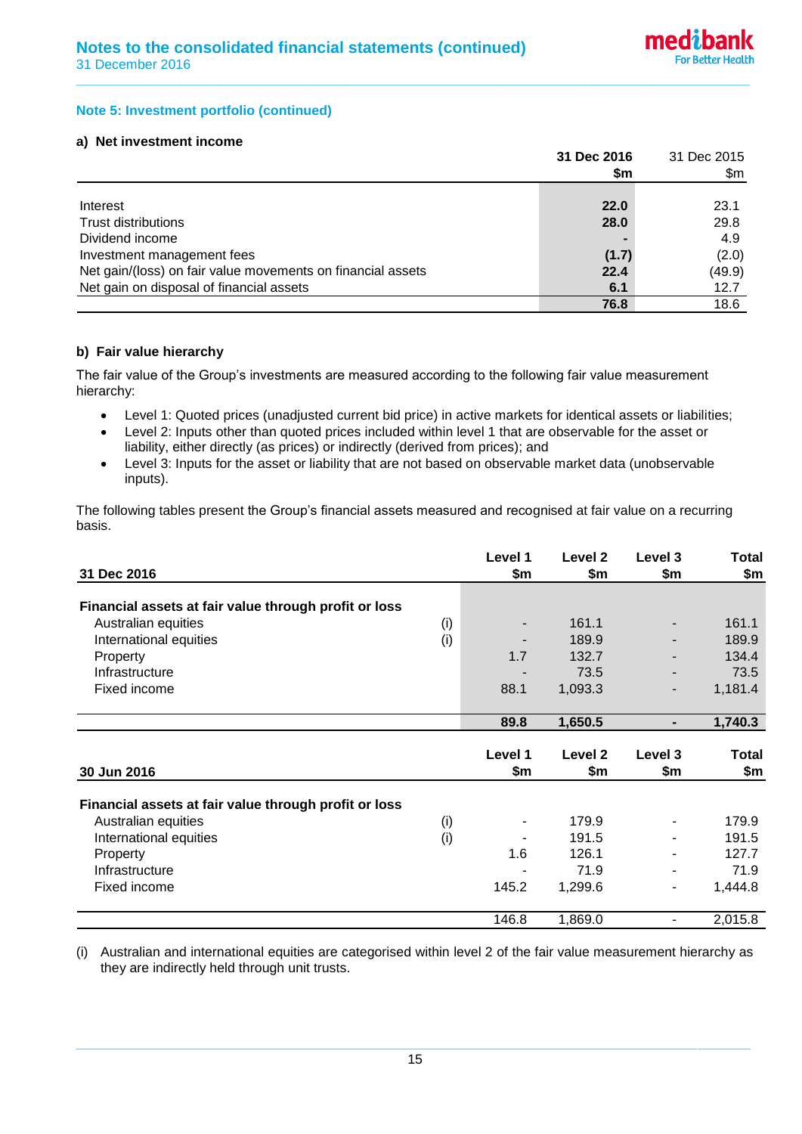### **Note 5: Investment portfolio (continued)**

### **a) Net investment income**

|                                                             | 31 Dec 2016 | 31 Dec 2015 |  |
|-------------------------------------------------------------|-------------|-------------|--|
|                                                             | \$m         | \$m         |  |
|                                                             |             |             |  |
| Interest                                                    | 22.0        | 23.1        |  |
| <b>Trust distributions</b>                                  | 28.0        | 29.8        |  |
| Dividend income                                             |             | 4.9         |  |
| Investment management fees                                  | (1.7)       | (2.0)       |  |
| Net gain/(loss) on fair value movements on financial assets | 22.4        | (49.9)      |  |
| Net gain on disposal of financial assets                    | 6.1         | 12.7        |  |
|                                                             | 76.8        | 18.6        |  |

**\_\_\_\_\_\_\_\_\_\_\_\_\_\_\_\_\_\_\_\_\_\_\_\_\_\_\_\_\_\_\_\_\_\_\_\_\_\_\_\_\_\_\_\_\_\_\_\_\_\_\_\_\_\_\_\_\_\_\_\_\_\_\_\_\_\_\_\_\_\_\_\_\_\_\_\_\_\_\_\_\_\_\_\_\_\_\_\_\_\_**

#### **b) Fair value hierarchy**

The fair value of the Group's investments are measured according to the following fair value measurement hierarchy:

- Level 1: Quoted prices (unadjusted current bid price) in active markets for identical assets or liabilities;
- Level 2: Inputs other than quoted prices included within level 1 that are observable for the asset or liability, either directly (as prices) or indirectly (derived from prices); and
- Level 3: Inputs for the asset or liability that are not based on observable market data (unobservable inputs).

The following tables present the Group's financial assets measured and recognised at fair value on a recurring basis.

| 31 Dec 2016                                           |     | Level 1<br>\$m           | Level <sub>2</sub><br>\$m | Level 3<br>\$m | <b>Total</b><br>\$m |
|-------------------------------------------------------|-----|--------------------------|---------------------------|----------------|---------------------|
| Financial assets at fair value through profit or loss |     |                          |                           |                |                     |
| Australian equities                                   | (i) | $\overline{\phantom{a}}$ | 161.1                     |                | 161.1               |
| International equities                                | (i) |                          | 189.9                     |                | 189.9               |
| Property                                              |     | 1.7                      | 132.7                     |                | 134.4               |
| Infrastructure                                        |     |                          | 73.5                      |                | 73.5                |
| Fixed income                                          |     | 88.1                     | 1,093.3                   |                | 1,181.4             |
|                                                       |     |                          |                           |                |                     |
|                                                       |     | 89.8                     | 1,650.5                   | ۰.             | 1,740.3             |
|                                                       |     |                          |                           |                |                     |
|                                                       |     | Level 1                  | Level <sub>2</sub>        | Level 3        | <b>Total</b>        |
| 30 Jun 2016                                           |     | \$m                      | \$m                       | \$m            | \$m                 |
| Financial assets at fair value through profit or loss |     |                          |                           |                |                     |
| Australian equities                                   | (i) | $\overline{\phantom{a}}$ | 179.9                     |                | 179.9               |
| International equities                                | (i) |                          | 191.5                     |                | 191.5               |
| Property                                              |     | 1.6                      | 126.1                     |                | 127.7               |
| Infrastructure                                        |     |                          | 71.9                      |                | 71.9                |
| Fixed income                                          |     | 145.2                    | 1,299.6                   |                | 1,444.8             |
|                                                       |     |                          |                           |                |                     |
|                                                       |     | 146.8                    | 1,869.0                   |                | 2,015.8             |

(i) Australian and international equities are categorised within level 2 of the fair value measurement hierarchy as they are indirectly held through unit trusts.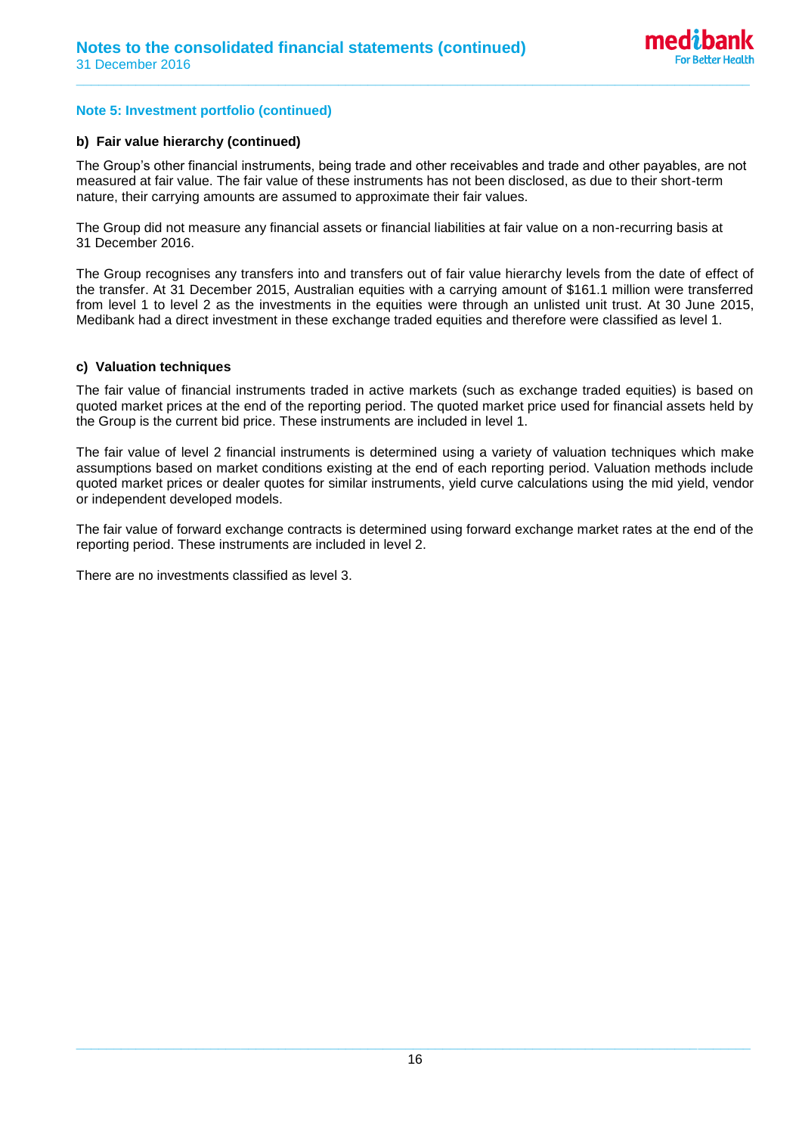## **Note 5: Investment portfolio (continued)**

#### **b) Fair value hierarchy (continued)**

The Group's other financial instruments, being trade and other receivables and trade and other payables, are not measured at fair value. The fair value of these instruments has not been disclosed, as due to their short-term nature, their carrying amounts are assumed to approximate their fair values.

**\_\_\_\_\_\_\_\_\_\_\_\_\_\_\_\_\_\_\_\_\_\_\_\_\_\_\_\_\_\_\_\_\_\_\_\_\_\_\_\_\_\_\_\_\_\_\_\_\_\_\_\_\_\_\_\_\_\_\_\_\_\_\_\_\_\_\_\_\_\_\_\_\_\_\_\_\_\_\_\_\_\_\_\_\_\_\_\_\_\_**

The Group did not measure any financial assets or financial liabilities at fair value on a non-recurring basis at 31 December 2016.

The Group recognises any transfers into and transfers out of fair value hierarchy levels from the date of effect of the transfer. At 31 December 2015, Australian equities with a carrying amount of \$161.1 million were transferred from level 1 to level 2 as the investments in the equities were through an unlisted unit trust. At 30 June 2015, Medibank had a direct investment in these exchange traded equities and therefore were classified as level 1.

#### **c) Valuation techniques**

The fair value of financial instruments traded in active markets (such as exchange traded equities) is based on quoted market prices at the end of the reporting period. The quoted market price used for financial assets held by the Group is the current bid price. These instruments are included in level 1.

The fair value of level 2 financial instruments is determined using a variety of valuation techniques which make assumptions based on market conditions existing at the end of each reporting period. Valuation methods include quoted market prices or dealer quotes for similar instruments, yield curve calculations using the mid yield, vendor or independent developed models.

The fair value of forward exchange contracts is determined using forward exchange market rates at the end of the reporting period. These instruments are included in level 2.

There are no investments classified as level 3.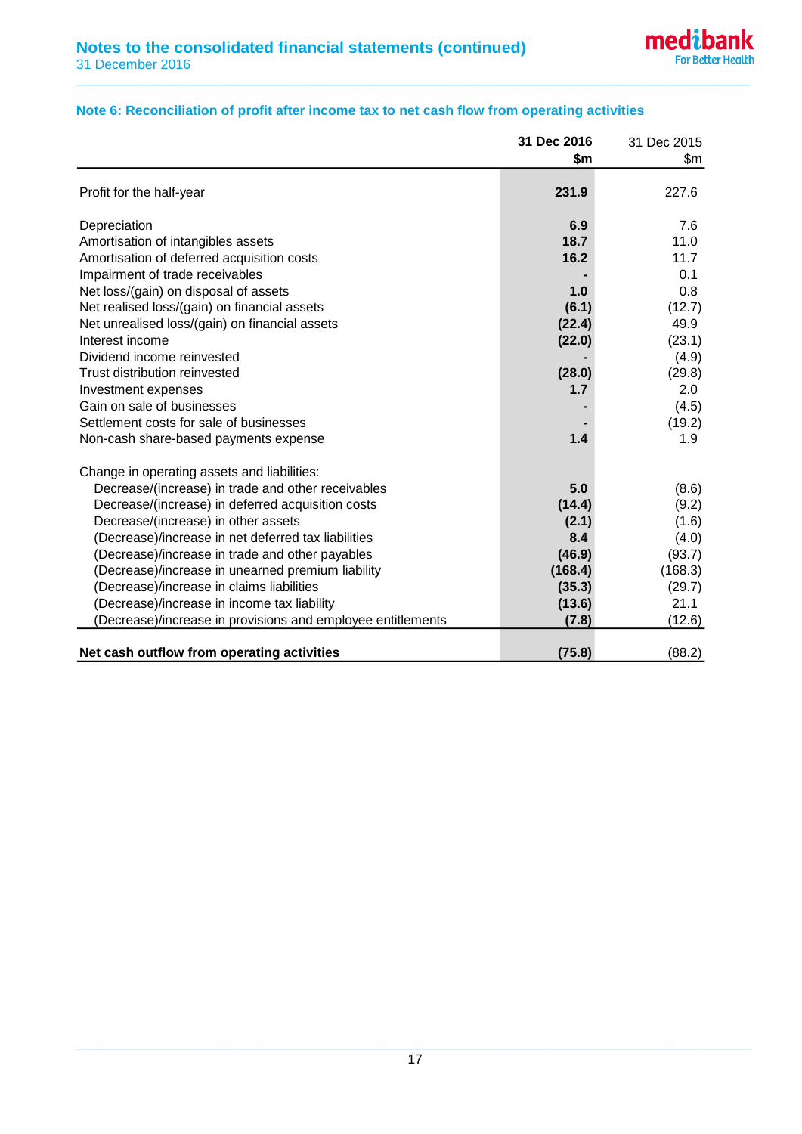## **Note 6: Reconciliation of profit after income tax to net cash flow from operating activities**

**\_\_\_\_\_\_\_\_\_\_\_\_\_\_\_\_\_\_\_\_\_\_\_\_\_\_\_\_\_\_\_\_\_\_\_\_\_\_\_\_\_\_\_\_\_\_\_\_\_\_\_\_\_\_\_\_\_\_\_\_\_\_\_\_\_\_\_\_\_\_\_\_\_\_\_\_\_\_\_\_\_\_\_\_\_\_\_\_\_\_**

|                                                             | 31 Dec 2016 | 31 Dec 2015 |
|-------------------------------------------------------------|-------------|-------------|
|                                                             | \$m         | \$m         |
|                                                             |             |             |
| Profit for the half-year                                    | 231.9       | 227.6       |
| Depreciation                                                | 6.9         | 7.6         |
| Amortisation of intangibles assets                          | 18.7        | 11.0        |
| Amortisation of deferred acquisition costs                  | 16.2        | 11.7        |
| Impairment of trade receivables                             |             | 0.1         |
| Net loss/(gain) on disposal of assets                       | 1.0         | 0.8         |
| Net realised loss/(gain) on financial assets                | (6.1)       | (12.7)      |
| Net unrealised loss/(gain) on financial assets              | (22.4)      | 49.9        |
| Interest income                                             | (22.0)      | (23.1)      |
| Dividend income reinvested                                  |             | (4.9)       |
| Trust distribution reinvested                               | (28.0)      | (29.8)      |
| Investment expenses                                         | 1.7         | 2.0         |
| Gain on sale of businesses                                  |             | (4.5)       |
| Settlement costs for sale of businesses                     |             | (19.2)      |
| Non-cash share-based payments expense                       | 1.4         | 1.9         |
| Change in operating assets and liabilities:                 |             |             |
| Decrease/(increase) in trade and other receivables          | 5.0         | (8.6)       |
| Decrease/(increase) in deferred acquisition costs           | (14.4)      | (9.2)       |
| Decrease/(increase) in other assets                         | (2.1)       | (1.6)       |
| (Decrease)/increase in net deferred tax liabilities         | 8.4         | (4.0)       |
| (Decrease)/increase in trade and other payables             | (46.9)      | (93.7)      |
| (Decrease)/increase in unearned premium liability           | (168.4)     | (168.3)     |
| (Decrease)/increase in claims liabilities                   | (35.3)      | (29.7)      |
| (Decrease)/increase in income tax liability                 | (13.6)      | 21.1        |
| (Decrease)/increase in provisions and employee entitlements | (7.8)       | (12.6)      |
|                                                             |             |             |
| Net cash outflow from operating activities                  | (75.8)      | (88.2)      |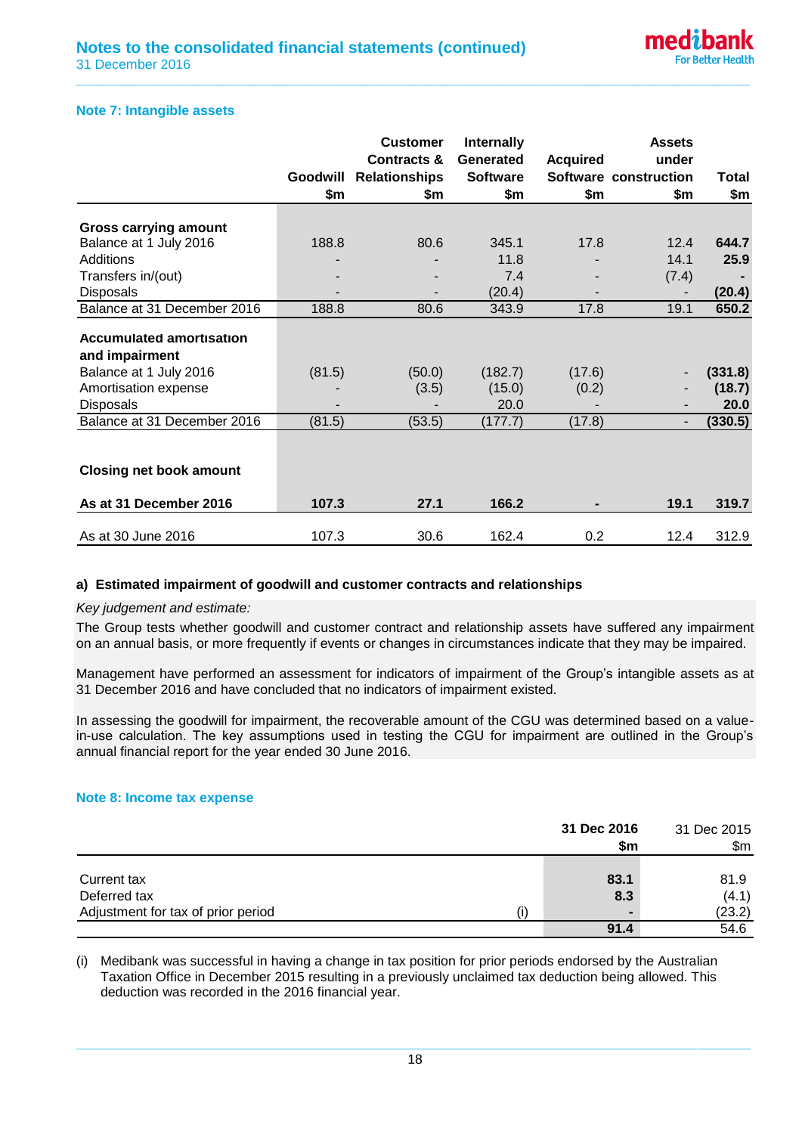#### **Note 7: Intangible assets**

|                                 |          | <b>Customer</b>        | <b>Internally</b> |                 | <b>Assets</b>            |         |
|---------------------------------|----------|------------------------|-------------------|-----------------|--------------------------|---------|
|                                 |          | <b>Contracts &amp;</b> | Generated         | <b>Acquired</b> | under                    |         |
|                                 | Goodwill | <b>Relationships</b>   | <b>Software</b>   |                 | Software construction    | Total   |
|                                 | \$m      | \$m                    | \$m               | \$m             | \$m                      | \$m     |
| <b>Gross carrying amount</b>    |          |                        |                   |                 |                          |         |
| Balance at 1 July 2016          | 188.8    | 80.6                   | 345.1             | 17.8            | 12.4                     | 644.7   |
| Additions                       |          |                        | 11.8              |                 | 14.1                     | 25.9    |
|                                 |          |                        | 7.4               |                 | (7.4)                    |         |
| Transfers in/(out)              |          |                        |                   |                 |                          |         |
| <b>Disposals</b>                |          |                        | (20.4)            |                 |                          | (20.4)  |
| Balance at 31 December 2016     | 188.8    | 80.6                   | 343.9             | 17.8            | 19.1                     | 650.2   |
| <b>Accumulated amortisation</b> |          |                        |                   |                 |                          |         |
| and impairment                  |          |                        |                   |                 |                          |         |
| Balance at 1 July 2016          | (81.5)   | (50.0)                 | (182.7)           | (17.6)          | -                        | (331.8) |
| Amortisation expense            |          | (3.5)                  | (15.0)            | (0.2)           | -                        | (18.7)  |
| <b>Disposals</b>                |          |                        | 20.0              |                 | -                        | 20.0    |
| Balance at 31 December 2016     | (81.5)   | (53.5)                 | (177.7)           | (17.8)          | $\overline{\phantom{a}}$ | (330.5) |
|                                 |          |                        |                   |                 |                          |         |
|                                 |          |                        |                   |                 |                          |         |
| <b>Closing net book amount</b>  |          |                        |                   |                 |                          |         |
| As at 31 December 2016          | 107.3    | 27.1                   | 166.2             |                 | 19.1                     | 319.7   |
|                                 |          |                        |                   |                 |                          |         |
| As at 30 June 2016              | 107.3    | 30.6                   | 162.4             | 0.2             | 12.4                     | 312.9   |

**\_\_\_\_\_\_\_\_\_\_\_\_\_\_\_\_\_\_\_\_\_\_\_\_\_\_\_\_\_\_\_\_\_\_\_\_\_\_\_\_\_\_\_\_\_\_\_\_\_\_\_\_\_\_\_\_\_\_\_\_\_\_\_\_\_\_\_\_\_\_\_\_\_\_\_\_\_\_\_\_\_\_\_\_\_\_\_\_\_\_**

#### **a) Estimated impairment of goodwill and customer contracts and relationships**

#### *Key judgement and estimate:*

The Group tests whether goodwill and customer contract and relationship assets have suffered any impairment on an annual basis, or more frequently if events or changes in circumstances indicate that they may be impaired.

Management have performed an assessment for indicators of impairment of the Group's intangible assets as at 31 December 2016 and have concluded that no indicators of impairment existed.

In assessing the goodwill for impairment, the recoverable amount of the CGU was determined based on a valuein-use calculation. The key assumptions used in testing the CGU for impairment are outlined in the Group's annual financial report for the year ended 30 June 2016.

#### **Note 8: Income tax expense**

|                                    | 31 Dec 2016<br>\$m | 31 Dec 2015<br>\$m\$ |  |
|------------------------------------|--------------------|----------------------|--|
|                                    |                    |                      |  |
| Current tax                        | 83.1               | 81.9                 |  |
| Deferred tax                       | 8.3                | (4.1)                |  |
| Adjustment for tax of prior period | $\blacksquare$     | (23.2)               |  |
|                                    | 91.4               | 54.6                 |  |

(i) Medibank was successful in having a change in tax position for prior periods endorsed by the Australian Taxation Office in December 2015 resulting in a previously unclaimed tax deduction being allowed. This deduction was recorded in the 2016 financial year.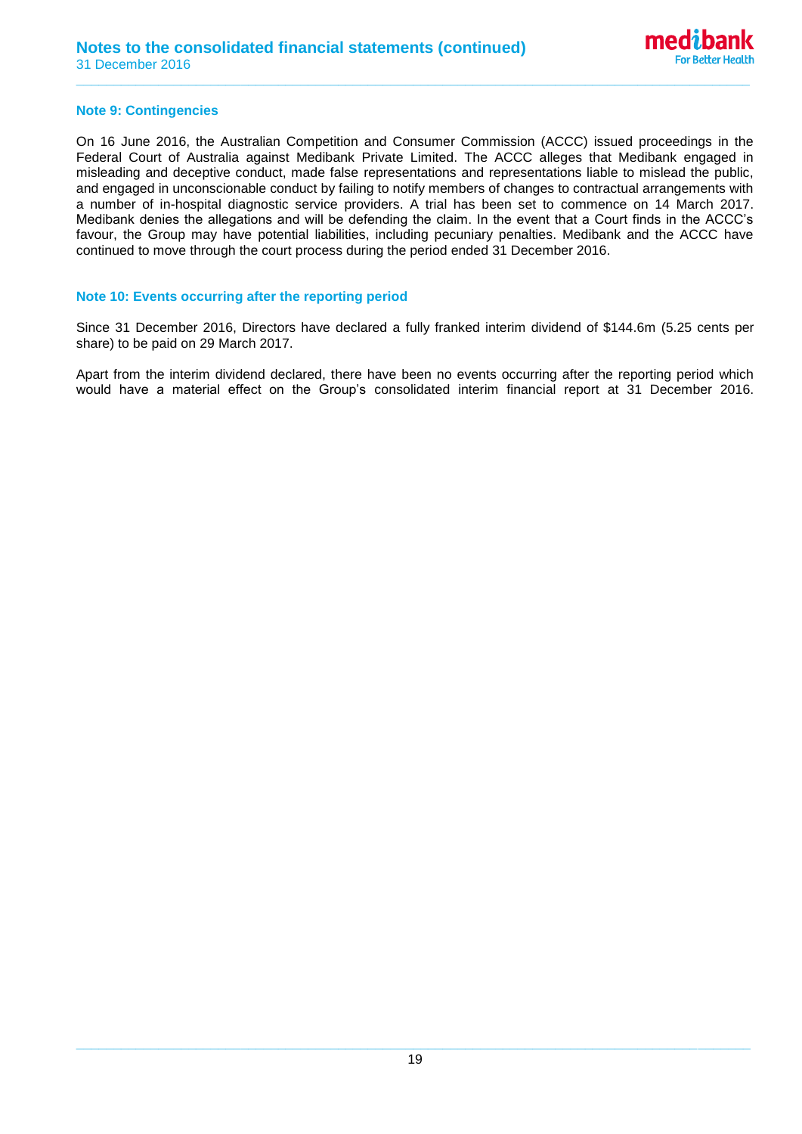#### **Note 9: Contingencies**

On 16 June 2016, the Australian Competition and Consumer Commission (ACCC) issued proceedings in the Federal Court of Australia against Medibank Private Limited. The ACCC alleges that Medibank engaged in misleading and deceptive conduct, made false representations and representations liable to mislead the public, and engaged in unconscionable conduct by failing to notify members of changes to contractual arrangements with a number of in-hospital diagnostic service providers. A trial has been set to commence on 14 March 2017. Medibank denies the allegations and will be defending the claim. In the event that a Court finds in the ACCC's favour, the Group may have potential liabilities, including pecuniary penalties. Medibank and the ACCC have continued to move through the court process during the period ended 31 December 2016.

**\_\_\_\_\_\_\_\_\_\_\_\_\_\_\_\_\_\_\_\_\_\_\_\_\_\_\_\_\_\_\_\_\_\_\_\_\_\_\_\_\_\_\_\_\_\_\_\_\_\_\_\_\_\_\_\_\_\_\_\_\_\_\_\_\_\_\_\_\_\_\_\_\_\_\_\_\_\_\_\_\_\_\_\_\_\_\_\_\_\_**

#### **Note 10: Events occurring after the reporting period**

Since 31 December 2016, Directors have declared a fully franked interim dividend of \$144.6m (5.25 cents per share) to be paid on 29 March 2017.

Apart from the interim dividend declared, there have been no events occurring after the reporting period which would have a material effect on the Group's consolidated interim financial report at 31 December 2016.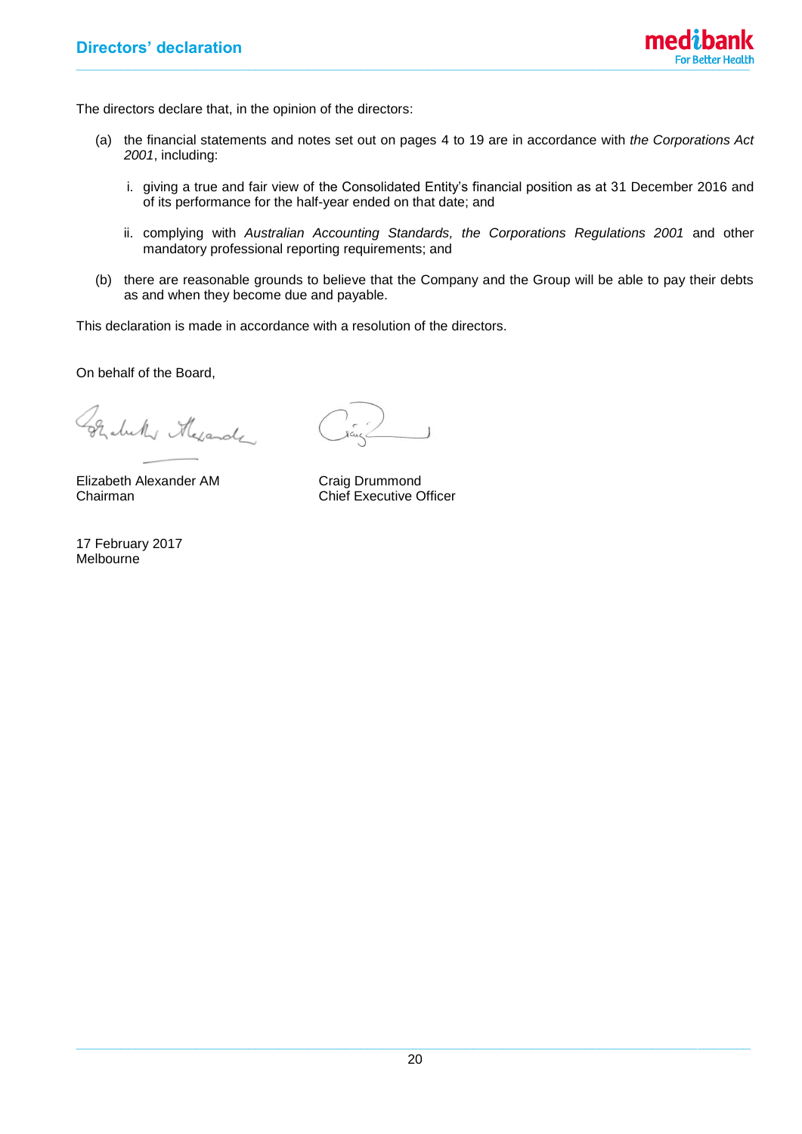

The directors declare that, in the opinion of the directors:

- (a) the financial statements and notes set out on pages 4 to 19 are in accordance with *the Corporations Act 2001*, including:
	- i. giving a true and fair view of the Consolidated Entity's financial position as at 31 December 2016 and of its performance for the half-year ended on that date; and
	- ii. complying with *Australian Accounting Standards, the Corporations Regulations 2001* and other mandatory professional reporting requirements; and
- (b) there are reasonable grounds to believe that the Company and the Group will be able to pay their debts as and when they become due and payable.

This declaration is made in accordance with a resolution of the directors.

On behalf of the Board,

Grabelly Mexander

Elizabeth Alexander AM Craig Drummond<br>Chairman Chief Executive C

17 February 2017 Melbourne

Chief Executive Officer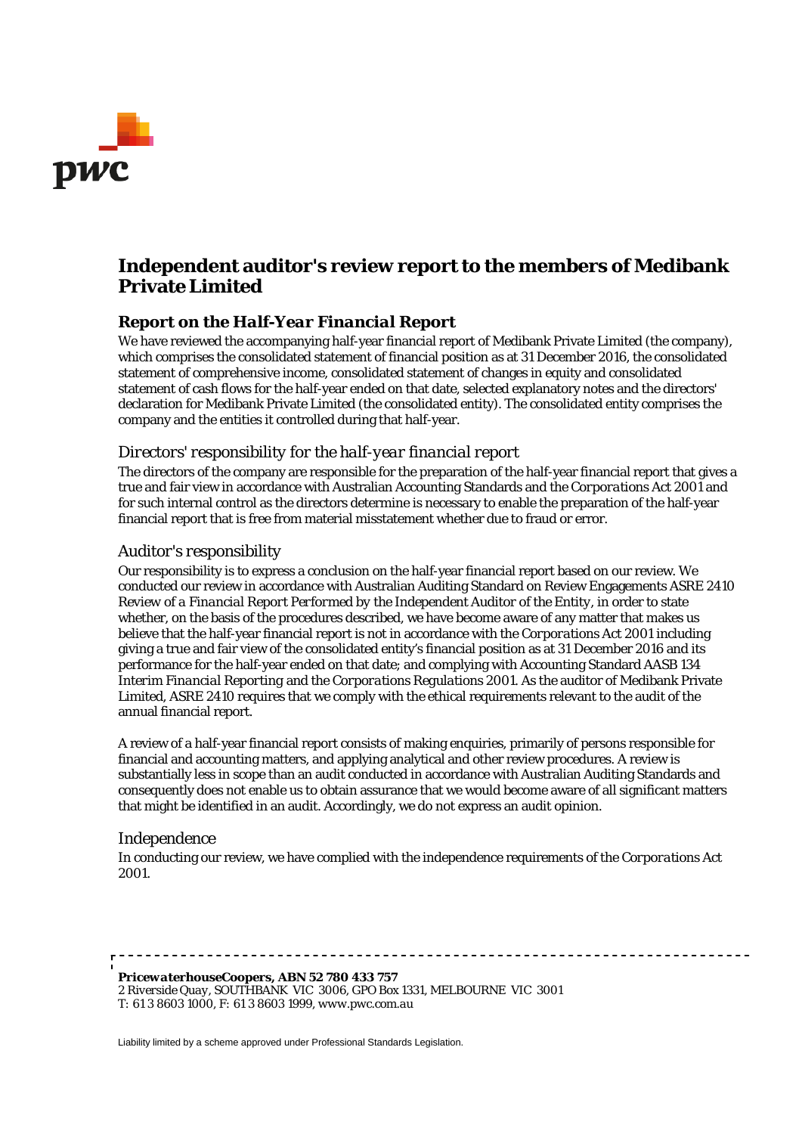

# **Independent auditor's review report to the members of Medibank Private Limited**

### *Report on the Half-Year Financial Report*

We have reviewed the accompanying half-year financial report of Medibank Private Limited (the company), which comprises the consolidated statement of financial position as at 31 December 2016, the consolidated statement of comprehensive income, consolidated statement of changes in equity and consolidated statement of cash flows for the half-year ended on that date, selected explanatory notes and the directors' declaration for Medibank Private Limited (the consolidated entity). The consolidated entity comprises the company and the entities it controlled during that half-year.

#### *Directors' responsibility for the half-year financial report*

The directors of the company are responsible for the preparation of the half-year financial report that gives a true and fair view in accordance with Australian Accounting Standards and the *Corporations Act 2001* and for such internal control as the directors determine is necessary to enable the preparation of the half-year financial report that is free from material misstatement whether due to fraud or error.

#### *Auditor's responsibility*

Our responsibility is to express a conclusion on the half-year financial report based on our review. We conducted our review in accordance with Australian Auditing Standard on Review Engagements ASRE 2410 *Review of a Financial Report Performed by the Independent Auditor of the Entity*, in order to state whether, on the basis of the procedures described, we have become aware of any matter that makes us believe that the half-year financial report is not in accordance with the *Corporations Act 2001* including giving a true and fair view of the consolidated entity's financial position as at 31 December 2016 and its performance for the half-year ended on that date; and complying with Accounting Standard AASB 134 *Interim Financial Reporting* and the *Corporations Regulations 2001*. As the auditor of Medibank Private Limited, ASRE 2410 requires that we comply with the ethical requirements relevant to the audit of the annual financial report.

A review of a half-year financial report consists of making enquiries, primarily of persons responsible for financial and accounting matters, and applying analytical and other review procedures. A review is substantially less in scope than an audit conducted in accordance with Australian Auditing Standards and consequently does not enable us to obtain assurance that we would become aware of all significant matters that might be identified in an audit. Accordingly, we do not express an audit opinion.

#### *Independence*

In conducting our review, we have complied with the independence requirements of the *Corporations Act 2001*.

*PricewaterhouseCoopers, ABN 52 780 433 757 2 Riverside Quay, SOUTHBANK VIC 3006, GPO Box 1331, MELBOURNE VIC 3001 T: 61 3 8603 1000, F: 61 3 8603 1999, www.pwc.com.au*

Liability limited by a scheme approved under Professional Standards Legislation.